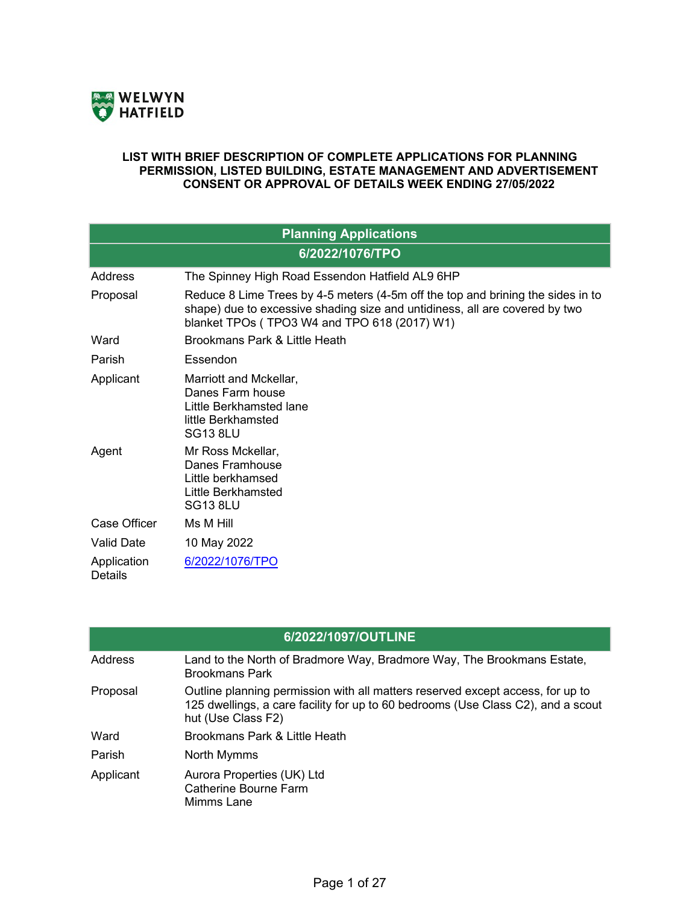

## **LIST WITH BRIEF DESCRIPTION OF COMPLETE APPLICATIONS FOR PLANNING PERMISSION, LISTED BUILDING, ESTATE MANAGEMENT AND ADVERTISEMENT CONSENT OR APPROVAL OF DETAILS WEEK ENDING 27/05/2022**

| <b>Planning Applications</b>  |                                                                                                                                                                                                                |  |
|-------------------------------|----------------------------------------------------------------------------------------------------------------------------------------------------------------------------------------------------------------|--|
| 6/2022/1076/TPO               |                                                                                                                                                                                                                |  |
| Address                       | The Spinney High Road Essendon Hatfield AL9 6HP                                                                                                                                                                |  |
| Proposal                      | Reduce 8 Lime Trees by 4-5 meters (4-5m off the top and brining the sides in to<br>shape) due to excessive shading size and untidiness, all are covered by two<br>blanket TPOs (TPO3 W4 and TPO 618 (2017) W1) |  |
| Ward                          | Brookmans Park & Little Heath                                                                                                                                                                                  |  |
| Parish                        | Essendon                                                                                                                                                                                                       |  |
| Applicant                     | Marriott and Mckellar,<br>Danes Farm house<br>Little Berkhamsted lane<br>little Berkhamsted<br><b>SG13 8LU</b>                                                                                                 |  |
| Agent                         | Mr Ross Mckellar,<br>Danes Framhouse<br>Little berkhamsed<br>Little Berkhamsted<br><b>SG13 8LU</b>                                                                                                             |  |
| Case Officer                  | Ms M Hill                                                                                                                                                                                                      |  |
| Valid Date                    | 10 May 2022                                                                                                                                                                                                    |  |
| Application<br><b>Details</b> | 6/2022/1076/TPO                                                                                                                                                                                                |  |

| 6/2022/1097/OUTLINE |                                                                                                                                                                                          |  |
|---------------------|------------------------------------------------------------------------------------------------------------------------------------------------------------------------------------------|--|
| Address             | Land to the North of Bradmore Way, Bradmore Way, The Brookmans Estate,<br><b>Brookmans Park</b>                                                                                          |  |
| Proposal            | Outline planning permission with all matters reserved except access, for up to<br>125 dwellings, a care facility for up to 60 bedrooms (Use Class C2), and a scout<br>hut (Use Class F2) |  |
| Ward                | Brookmans Park & Little Heath                                                                                                                                                            |  |
| Parish              | North Mymms                                                                                                                                                                              |  |
| Applicant           | Aurora Properties (UK) Ltd<br><b>Catherine Bourne Farm</b><br>Mimms Lane                                                                                                                 |  |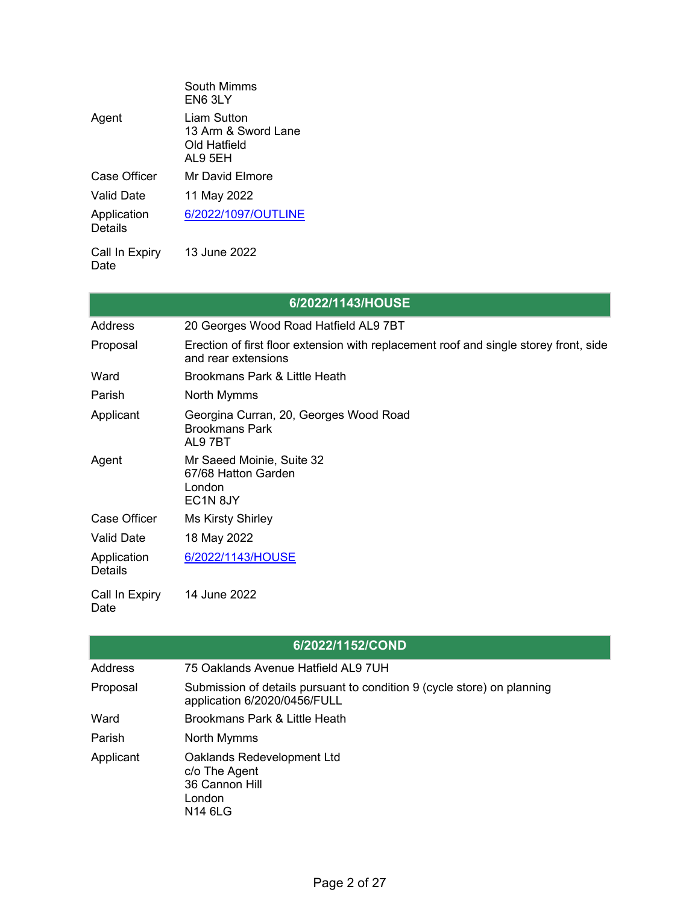|                        | South Mimms<br>EN6 3LY                                        |
|------------------------|---------------------------------------------------------------|
| Agent                  | Liam Sutton<br>13 Arm & Sword Lane<br>Old Hatfield<br>AL9 5EH |
| Case Officer           | Mr David Elmore                                               |
| <b>Valid Date</b>      | 11 May 2022                                                   |
| Application<br>Details | 6/2022/1097/OUTLINE                                           |
| Call In Expiry         | 13 June 2022                                                  |

Date

|                               | 6/2022/1143/HOUSE                                                                                            |
|-------------------------------|--------------------------------------------------------------------------------------------------------------|
| Address                       | 20 Georges Wood Road Hatfield AL9 7BT                                                                        |
| Proposal                      | Erection of first floor extension with replacement roof and single storey front, side<br>and rear extensions |
| Ward                          | Brookmans Park & Little Heath                                                                                |
| Parish                        | North Mymms                                                                                                  |
| Applicant                     | Georgina Curran, 20, Georges Wood Road<br><b>Brookmans Park</b><br>AL97BT                                    |
| Agent                         | Mr Saeed Moinie, Suite 32<br>67/68 Hatton Garden<br>London<br>EC1N <sub>8JY</sub>                            |
| Case Officer                  | <b>Ms Kirsty Shirley</b>                                                                                     |
| <b>Valid Date</b>             | 18 May 2022                                                                                                  |
| Application<br><b>Details</b> | 6/2022/1143/HOUSE                                                                                            |
| Call In Expiry<br>Date        | 14 June 2022                                                                                                 |

|           | 6/2022/1152/COND                                                                                        |
|-----------|---------------------------------------------------------------------------------------------------------|
|           |                                                                                                         |
| Address   | 75 Oaklands Avenue Hatfield AL9 7UH                                                                     |
| Proposal  | Submission of details pursuant to condition 9 (cycle store) on planning<br>application 6/2020/0456/FULL |
| Ward      | Brookmans Park & Little Heath                                                                           |
| Parish    | North Mymms                                                                                             |
| Applicant | Oaklands Redevelopment Ltd<br>c/o The Agent<br>36 Cannon Hill<br>London<br>N14 6LG                      |

٦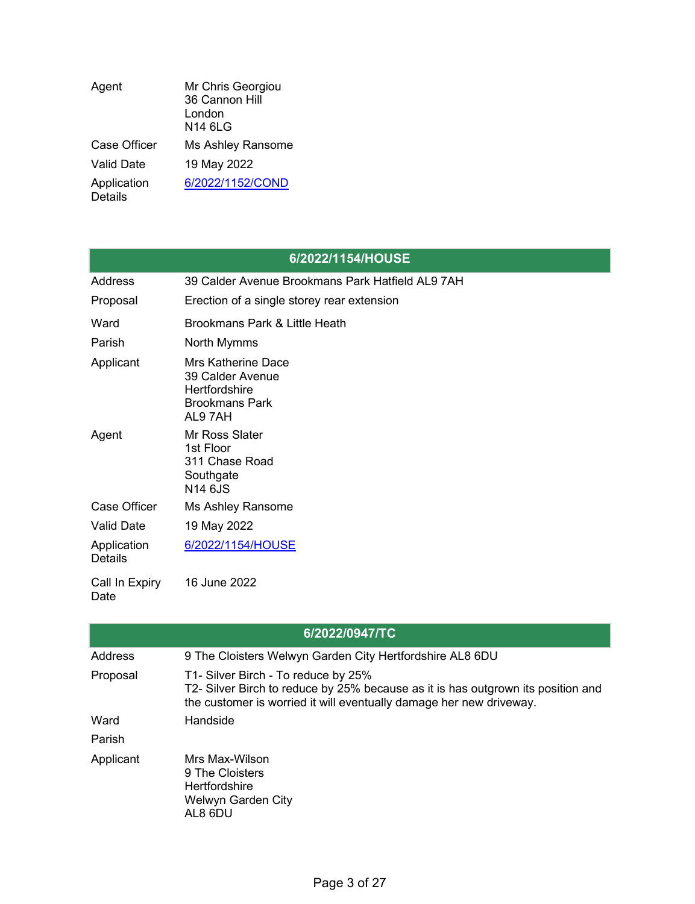| Agent                         | Mr Chris Georgiou<br>36 Cannon Hill<br>London<br><b>N14 6LG</b> |
|-------------------------------|-----------------------------------------------------------------|
| <b>Case Officer</b>           | Ms Ashley Ransome                                               |
| <b>Valid Date</b>             | 19 May 2022                                                     |
| Application<br><b>Details</b> | 6/2022/1152/COND                                                |

## **6/2022/1154/HOUSE**

| Address                       | 39 Calder Avenue Brookmans Park Hatfield AL9 7AH                                                  |
|-------------------------------|---------------------------------------------------------------------------------------------------|
| Proposal                      | Erection of a single storey rear extension                                                        |
| Ward                          | Brookmans Park & Little Heath                                                                     |
| Parish                        | North Mymms                                                                                       |
| Applicant                     | <b>Mrs Katherine Dace</b><br>39 Calder Avenue<br>Hertfordshire<br><b>Brookmans Park</b><br>AL97AH |
| Agent                         | Mr Ross Slater<br>1st Floor<br>311 Chase Road<br>Southgate<br>N14 6JS                             |
| Case Officer                  | Ms Ashley Ransome                                                                                 |
| <b>Valid Date</b>             | 19 May 2022                                                                                       |
| Application<br><b>Details</b> | 6/2022/1154/HOUSE                                                                                 |
| Call In Expiry<br>Date        | 16 June 2022                                                                                      |

| 6/2022/0947/TC |                                                                                                                                                                                                |  |
|----------------|------------------------------------------------------------------------------------------------------------------------------------------------------------------------------------------------|--|
| Address        | 9 The Cloisters Welwyn Garden City Hertfordshire AL8 6DU                                                                                                                                       |  |
| Proposal       | T1- Silver Birch - To reduce by 25%<br>T2- Silver Birch to reduce by 25% because as it is has outgrown its position and<br>the customer is worried it will eventually damage her new driveway. |  |
| Ward           | Handside                                                                                                                                                                                       |  |
| Parish         |                                                                                                                                                                                                |  |
| Applicant      | Mrs Max-Wilson<br>9 The Cloisters<br><b>Hertfordshire</b><br>Welwyn Garden City<br>AL8 6DU                                                                                                     |  |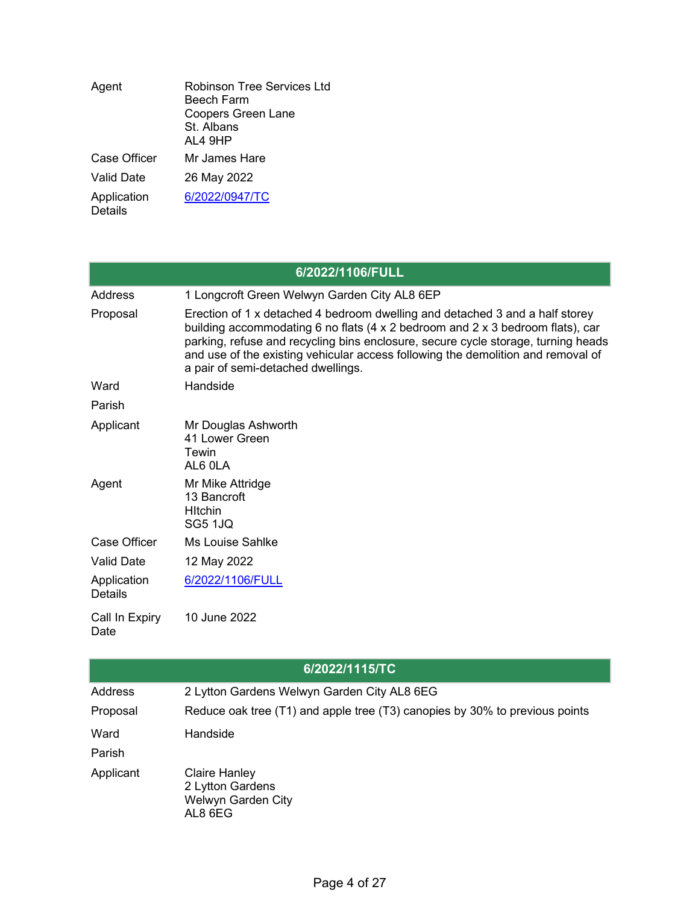| Agent                         | Robinson Tree Services Ltd<br>Beech Farm<br><b>Coopers Green Lane</b><br>St Albans<br>AL4 9HP |
|-------------------------------|-----------------------------------------------------------------------------------------------|
| Case Officer                  | Mr James Hare                                                                                 |
| Valid Date                    | 26 May 2022                                                                                   |
| Application<br><b>Details</b> | 6/2022/0947/TC                                                                                |

| 6/2022/1106/FULL       |                                                                                                                                                                                                                                                                                                                                                                               |  |
|------------------------|-------------------------------------------------------------------------------------------------------------------------------------------------------------------------------------------------------------------------------------------------------------------------------------------------------------------------------------------------------------------------------|--|
| Address                | 1 Longcroft Green Welwyn Garden City AL8 6EP                                                                                                                                                                                                                                                                                                                                  |  |
| Proposal               | Erection of 1 x detached 4 bedroom dwelling and detached 3 and a half storey<br>building accommodating 6 no flats (4 x 2 bedroom and 2 x 3 bedroom flats), car<br>parking, refuse and recycling bins enclosure, secure cycle storage, turning heads<br>and use of the existing vehicular access following the demolition and removal of<br>a pair of semi-detached dwellings. |  |
| Ward                   | Handside                                                                                                                                                                                                                                                                                                                                                                      |  |
| Parish                 |                                                                                                                                                                                                                                                                                                                                                                               |  |
| Applicant              | Mr Douglas Ashworth<br>41 Lower Green<br>Tewin<br>AL6 OLA                                                                                                                                                                                                                                                                                                                     |  |
| Agent                  | Mr Mike Attridge<br>13 Bancroft<br><b>H</b> Itchin<br><b>SG5 1JQ</b>                                                                                                                                                                                                                                                                                                          |  |
| Case Officer           | <b>Ms Louise Sahlke</b>                                                                                                                                                                                                                                                                                                                                                       |  |
| <b>Valid Date</b>      | 12 May 2022                                                                                                                                                                                                                                                                                                                                                                   |  |
| Application<br>Details | 6/2022/1106/FULL                                                                                                                                                                                                                                                                                                                                                              |  |
| Call In Expiry<br>Date | 10 June 2022                                                                                                                                                                                                                                                                                                                                                                  |  |

|                | 6/2022/1115/TC                                                              |
|----------------|-----------------------------------------------------------------------------|
| <b>Address</b> | 2 Lytton Gardens Welwyn Garden City AL8 6EG                                 |
| Proposal       | Reduce oak tree (T1) and apple tree (T3) canopies by 30% to previous points |
| Ward           | Handside                                                                    |
| Parish         |                                                                             |
| Applicant      | <b>Claire Hanley</b><br>2 Lytton Gardens<br>Welwyn Garden City<br>AL8 6EG   |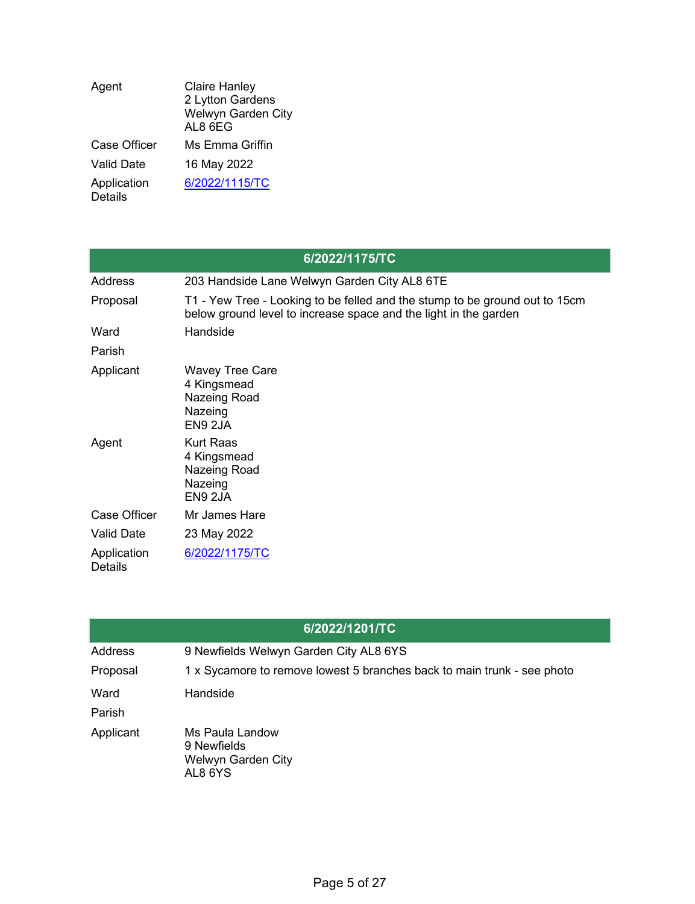| Agent                         | <b>Claire Hanley</b><br>2 Lytton Gardens<br>Welwyn Garden City<br>AL8 6EG |
|-------------------------------|---------------------------------------------------------------------------|
| Case Officer                  | Ms Emma Griffin                                                           |
| <b>Valid Date</b>             | 16 May 2022                                                               |
| Application<br><b>Details</b> | 6/2022/1115/TC                                                            |

| 6/2022/1175/TC                |                                                                                                                                                 |  |
|-------------------------------|-------------------------------------------------------------------------------------------------------------------------------------------------|--|
| Address                       | 203 Handside Lane Welwyn Garden City AL8 6TE                                                                                                    |  |
| Proposal                      | T1 - Yew Tree - Looking to be felled and the stump to be ground out to 15cm<br>below ground level to increase space and the light in the garden |  |
| Ward                          | Handside                                                                                                                                        |  |
| Parish                        |                                                                                                                                                 |  |
| Applicant                     | <b>Wavey Tree Care</b><br>4 Kingsmead<br>Nazeing Road<br>Nazeing<br>EN9 2JA                                                                     |  |
| Agent                         | <b>Kurt Raas</b><br>4 Kingsmead<br>Nazeing Road<br>Nazeing<br>EN9 2JA                                                                           |  |
| Case Officer                  | Mr James Hare                                                                                                                                   |  |
| <b>Valid Date</b>             | 23 May 2022                                                                                                                                     |  |
| Application<br><b>Details</b> | 6/2022/1175/TC                                                                                                                                  |  |

|                | 6/2022/1201/TC                                                          |
|----------------|-------------------------------------------------------------------------|
| <b>Address</b> | 9 Newfields Welwyn Garden City AL8 6YS                                  |
| Proposal       | 1 x Sycamore to remove lowest 5 branches back to main trunk - see photo |
| Ward<br>Parish | Handside                                                                |
| Applicant      | Ms Paula Landow<br>9 Newfields<br>Welwyn Garden City<br>AL8 6YS         |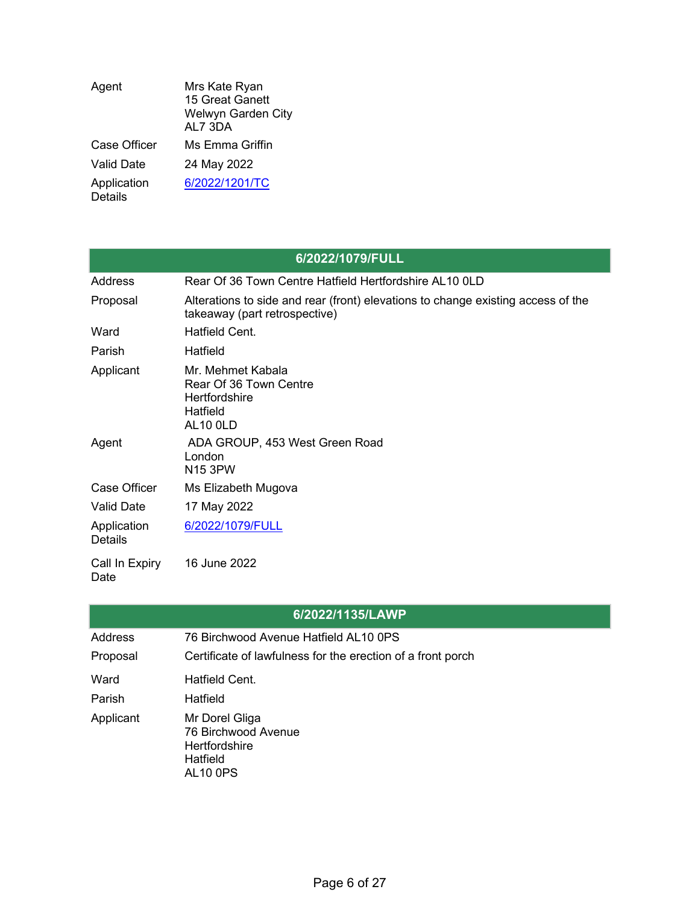| Agent                         | Mrs Kate Ryan<br>15 Great Ganett<br>Welwyn Garden City<br>AL7 3DA |
|-------------------------------|-------------------------------------------------------------------|
| Case Officer                  | Ms Emma Griffin                                                   |
| Valid Date                    | 24 May 2022                                                       |
| Application<br><b>Details</b> | 6/2022/1201/TC                                                    |

| 6/2022/1079/FULL              |                                                                                                                   |  |
|-------------------------------|-------------------------------------------------------------------------------------------------------------------|--|
| Address                       | Rear Of 36 Town Centre Hatfield Hertfordshire AL10 0LD                                                            |  |
| Proposal                      | Alterations to side and rear (front) elevations to change existing access of the<br>takeaway (part retrospective) |  |
| Ward                          | Hatfield Cent.                                                                                                    |  |
| Parish                        | Hatfield                                                                                                          |  |
| Applicant                     | Mr. Mehmet Kabala<br>Rear Of 36 Town Centre<br>Hertfordshire<br>Hatfield<br><b>AL10 0LD</b>                       |  |
| Agent                         | ADA GROUP, 453 West Green Road<br>London<br><b>N15 3PW</b>                                                        |  |
| Case Officer                  | Ms Elizabeth Mugova                                                                                               |  |
| <b>Valid Date</b>             | 17 May 2022                                                                                                       |  |
| Application<br><b>Details</b> | 6/2022/1079/FULL                                                                                                  |  |
| Call In Expiry<br>Date        | 16 June 2022                                                                                                      |  |

|                | 6/2022/1135/LAWP                                                                             |
|----------------|----------------------------------------------------------------------------------------------|
| <b>Address</b> | 76 Birchwood Avenue Hatfield AL10 0PS                                                        |
| Proposal       | Certificate of lawfulness for the erection of a front porch                                  |
| Ward           | Hatfield Cent.                                                                               |
| Parish         | Hatfield                                                                                     |
| Applicant      | Mr Dorel Gliga<br>76 Birchwood Avenue<br><b>Hertfordshire</b><br>Hatfield<br><b>AL10 0PS</b> |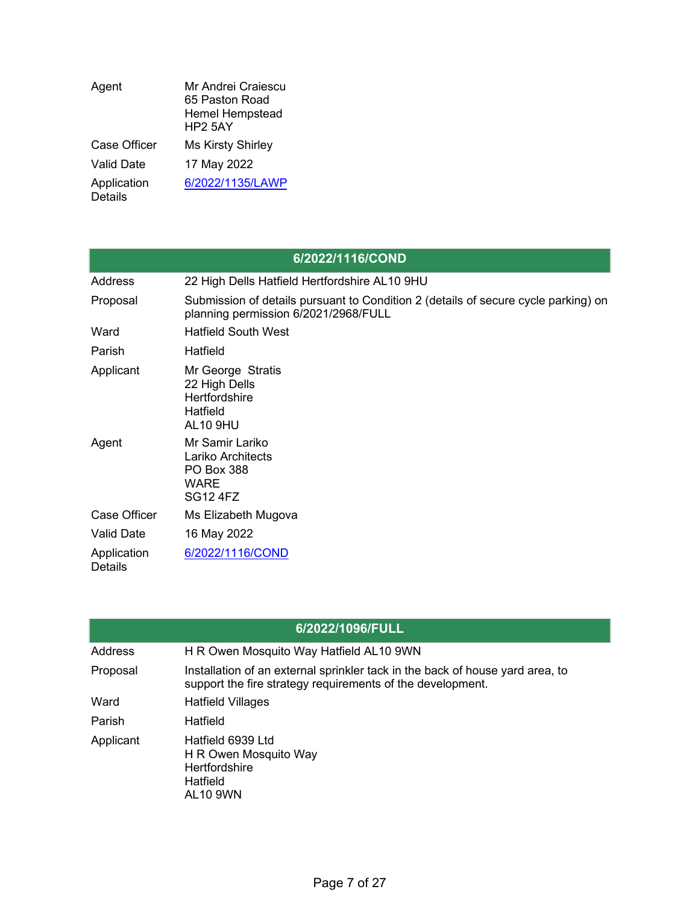| Agent                         | Mr Andrei Craiescu<br>65 Paston Road<br><b>Hemel Hempstead</b><br><b>HP2 5AY</b> |
|-------------------------------|----------------------------------------------------------------------------------|
| <b>Case Officer</b>           | <b>Ms Kirsty Shirley</b>                                                         |
| <b>Valid Date</b>             | 17 May 2022                                                                      |
| Application<br><b>Details</b> | 6/2022/1135/LAWP                                                                 |

| 6/2022/1116/COND              |                                                                                                                            |  |
|-------------------------------|----------------------------------------------------------------------------------------------------------------------------|--|
| Address                       | 22 High Dells Hatfield Hertfordshire AL10 9HU                                                                              |  |
| Proposal                      | Submission of details pursuant to Condition 2 (details of secure cycle parking) on<br>planning permission 6/2021/2968/FULL |  |
| Ward                          | <b>Hatfield South West</b>                                                                                                 |  |
| Parish                        | Hatfield                                                                                                                   |  |
| Applicant                     | Mr George Stratis<br>22 High Dells<br><b>Hertfordshire</b><br>Hatfield<br><b>AL10 9HU</b>                                  |  |
| Agent                         | Mr Samir Lariko<br>Lariko Architects<br><b>PO Box 388</b><br>WARE<br><b>SG12 4FZ</b>                                       |  |
| Case Officer                  | Ms Elizabeth Mugova                                                                                                        |  |
| <b>Valid Date</b>             | 16 May 2022                                                                                                                |  |
| Application<br><b>Details</b> | 6/2022/1116/COND                                                                                                           |  |

|           | 6/2022/1096/FULL                                                                                                                            |
|-----------|---------------------------------------------------------------------------------------------------------------------------------------------|
| Address   | H R Owen Mosquito Way Hatfield AL10 9WN                                                                                                     |
| Proposal  | Installation of an external sprinkler tack in the back of house yard area, to<br>support the fire strategy requirements of the development. |
| Ward      | <b>Hatfield Villages</b>                                                                                                                    |
| Parish    | Hatfield                                                                                                                                    |
| Applicant | Hatfield 6939 Ltd<br>H R Owen Mosquito Way<br><b>Hertfordshire</b><br>Hatfield<br><b>AL10 9WN</b>                                           |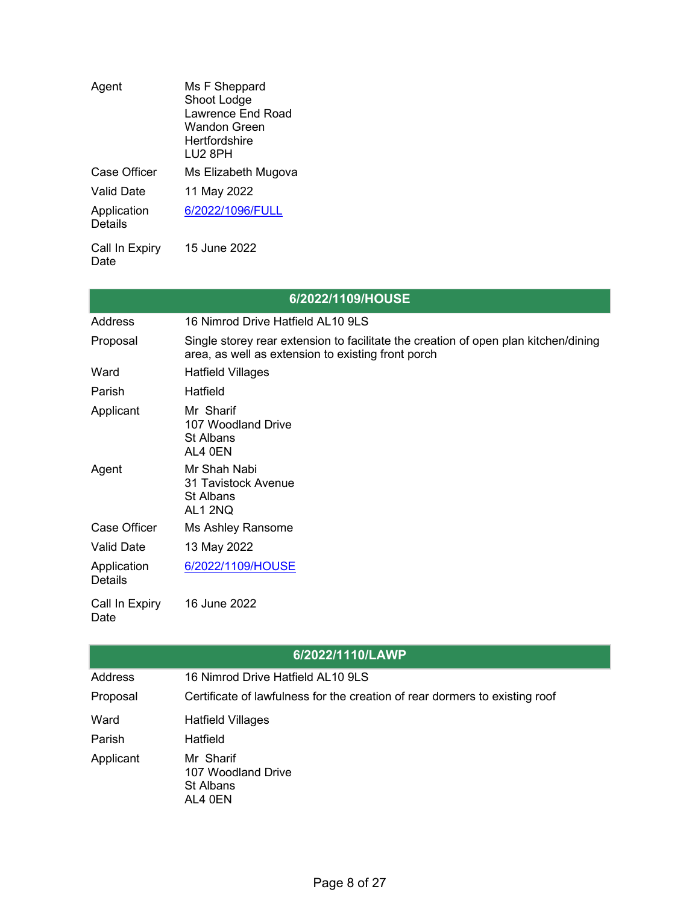| Agent                         | Ms F Sheppard<br>Shoot Lodge<br>Lawrence End Road<br>Wandon Green<br>Hertfordshire<br>LU2 8PH |
|-------------------------------|-----------------------------------------------------------------------------------------------|
| Case Officer                  | Ms Elizabeth Mugova                                                                           |
| Valid Date                    | 11 May 2022                                                                                   |
| Application<br><b>Details</b> | 6/2022/1096/FULL                                                                              |
| Call In Expiry                | 15 June 2022                                                                                  |

Date

| 6/2022/1109/HOUSE             |                                                                                                                                           |  |
|-------------------------------|-------------------------------------------------------------------------------------------------------------------------------------------|--|
| Address                       | 16 Nimrod Drive Hatfield AL10 9LS                                                                                                         |  |
| Proposal                      | Single storey rear extension to facilitate the creation of open plan kitchen/dining<br>area, as well as extension to existing front porch |  |
| Ward                          | <b>Hatfield Villages</b>                                                                                                                  |  |
| Parish                        | Hatfield                                                                                                                                  |  |
| Applicant                     | Mr Sharif<br>107 Woodland Drive<br>St Albans<br>AL4 0EN                                                                                   |  |
| Agent                         | Mr Shah Nabi<br><b>31 Tavistock Avenue</b><br>St Albans<br>AL1 2NQ                                                                        |  |
| Case Officer                  | Ms Ashley Ransome                                                                                                                         |  |
| <b>Valid Date</b>             | 13 May 2022                                                                                                                               |  |
| Application<br><b>Details</b> | 6/2022/1109/HOUSE                                                                                                                         |  |
| Call In Expiry<br>Date        | 16 June 2022                                                                                                                              |  |

|                | 6/2022/1110/LAWP                                                            |
|----------------|-----------------------------------------------------------------------------|
| <b>Address</b> | 16 Nimrod Drive Hatfield AL10 9LS                                           |
| Proposal       | Certificate of lawfulness for the creation of rear dormers to existing roof |
| Ward           | Hatfield Villages                                                           |
| Parish         | Hatfield                                                                    |
| Applicant      | Mr Sharif<br>107 Woodland Drive<br>St Albans<br>AL4 0EN                     |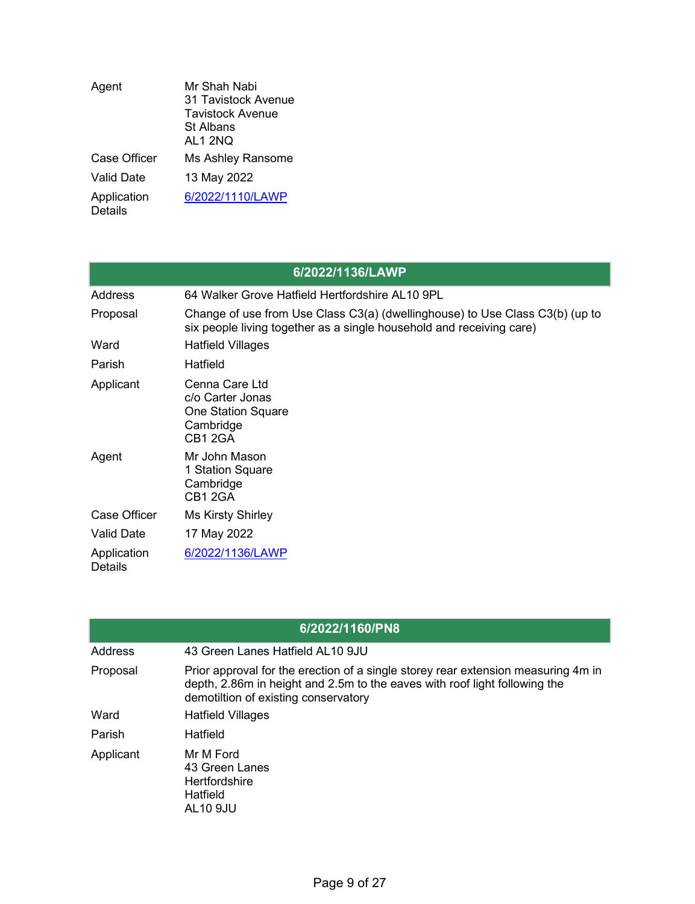| Agent                         | Mr Shah Nabi<br>31 Tavistock Avenue<br>Tavistock Avenue<br>St Albans<br>AL1 2NQ |
|-------------------------------|---------------------------------------------------------------------------------|
| Case Officer                  | Ms Ashley Ransome                                                               |
| Valid Date                    | 13 May 2022                                                                     |
| Application<br><b>Details</b> | 6/2022/1110/LAWP                                                                |

|                               | 6/2022/1136/LAWP                                                                                                                                     |
|-------------------------------|------------------------------------------------------------------------------------------------------------------------------------------------------|
| Address                       | 64 Walker Grove Hatfield Hertfordshire AL10 9PL                                                                                                      |
| Proposal                      | Change of use from Use Class C3(a) (dwellinghouse) to Use Class C3(b) (up to<br>six people living together as a single household and receiving care) |
| Ward                          | <b>Hatfield Villages</b>                                                                                                                             |
| Parish                        | Hatfield                                                                                                                                             |
| Applicant                     | Cenna Care Ltd<br>c/o Carter Jonas<br><b>One Station Square</b><br>Cambridge<br>CB1 2GA                                                              |
| Agent                         | Mr John Mason<br>1 Station Square<br>Cambridge<br>CB1 2GA                                                                                            |
| <b>Case Officer</b>           | <b>Ms Kirsty Shirley</b>                                                                                                                             |
| Valid Date                    | 17 May 2022                                                                                                                                          |
| Application<br><b>Details</b> | 6/2022/1136/LAWP                                                                                                                                     |

|                | 6/2022/1160/PN8                                                                                                                                                                                         |
|----------------|---------------------------------------------------------------------------------------------------------------------------------------------------------------------------------------------------------|
| <b>Address</b> | 43 Green Lanes Hatfield AL10 9JU                                                                                                                                                                        |
| Proposal       | Prior approval for the erection of a single storey rear extension measuring 4m in<br>depth, 2.86m in height and 2.5m to the eaves with roof light following the<br>demotiltion of existing conservatory |
| Ward           | <b>Hatfield Villages</b>                                                                                                                                                                                |
| Parish         | Hatfield                                                                                                                                                                                                |
| Applicant      | Mr M Ford<br>43 Green Lanes<br><b>Hertfordshire</b><br>Hatfield<br><b>AL10 9JU</b>                                                                                                                      |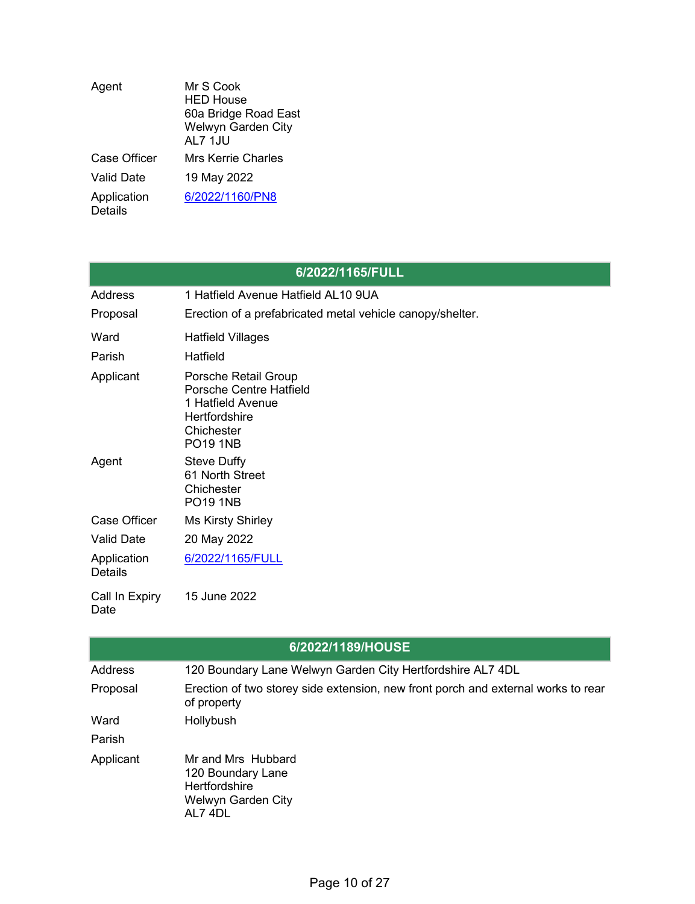| Agent                         | Mr S Cook<br><b>HFD House</b><br>60a Bridge Road East<br>Welwyn Garden City<br>AL7 1JU |
|-------------------------------|----------------------------------------------------------------------------------------|
| Case Officer                  | Mrs Kerrie Charles                                                                     |
| Valid Date                    | 19 May 2022                                                                            |
| Application<br><b>Details</b> | 6/2022/1160/PN8                                                                        |

| 6/2022/1165/FULL              |                                                                                                                               |  |
|-------------------------------|-------------------------------------------------------------------------------------------------------------------------------|--|
| Address                       | 1 Hatfield Avenue Hatfield AL10 9UA                                                                                           |  |
| Proposal                      | Erection of a prefabricated metal vehicle canopy/shelter.                                                                     |  |
| Ward                          | <b>Hatfield Villages</b>                                                                                                      |  |
| Parish                        | Hatfield                                                                                                                      |  |
| Applicant                     | Porsche Retail Group<br>Porsche Centre Hatfield<br>1 Hatfield Avenue<br><b>Hertfordshire</b><br>Chichester<br><b>PO19 1NB</b> |  |
| Agent                         | <b>Steve Duffy</b><br>61 North Street<br>Chichester<br><b>PO19 1NB</b>                                                        |  |
| <b>Case Officer</b>           | <b>Ms Kirsty Shirley</b>                                                                                                      |  |
| <b>Valid Date</b>             | 20 May 2022                                                                                                                   |  |
| Application<br><b>Details</b> | 6/2022/1165/FULL                                                                                                              |  |
| Call In Expiry<br>Date        | 15 June 2022                                                                                                                  |  |

| 6/2022/1189/HOUSE |                                                                                                  |  |
|-------------------|--------------------------------------------------------------------------------------------------|--|
| <b>Address</b>    | 120 Boundary Lane Welwyn Garden City Hertfordshire AL7 4DL                                       |  |
| Proposal          | Erection of two storey side extension, new front porch and external works to rear<br>of property |  |
| Ward              | Hollybush                                                                                        |  |
| Parish            |                                                                                                  |  |
| Applicant         | Mr and Mrs Hubbard<br>120 Boundary Lane<br><b>Hertfordshire</b><br>Welwyn Garden City<br>AL7 4DL |  |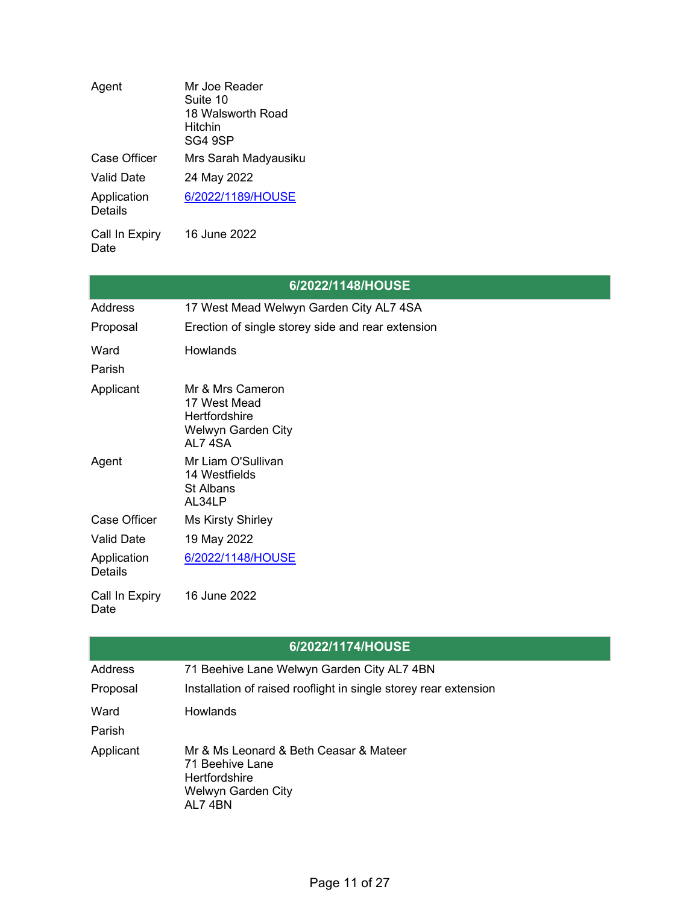| Agent                         | Mr Joe Reader<br>Suite 10<br>18 Walsworth Road<br>Hitchin<br>SG4 9SP |
|-------------------------------|----------------------------------------------------------------------|
| Case Officer                  | Mrs Sarah Madyausiku                                                 |
| Valid Date                    | 24 May 2022                                                          |
| Application<br><b>Details</b> | 6/2022/1189/HOUSE                                                    |
| Call In Expiry<br>Date        | 16 June 2022                                                         |

| 6/2022/1148/HOUSE             |                                                                                   |  |
|-------------------------------|-----------------------------------------------------------------------------------|--|
| <b>Address</b>                | 17 West Mead Welwyn Garden City AL7 4SA                                           |  |
| Proposal                      | Erection of single storey side and rear extension                                 |  |
| Ward                          | <b>Howlands</b>                                                                   |  |
| Parish                        |                                                                                   |  |
| Applicant                     | Mr & Mrs Cameron<br>17 West Mead<br>Hertfordshire<br>Welwyn Garden City<br>AL74SA |  |
| Agent                         | Mr Liam O'Sullivan<br>14 Westfields<br>St Albans<br>AL34LP                        |  |
| Case Officer                  | <b>Ms Kirsty Shirley</b>                                                          |  |
| <b>Valid Date</b>             | 19 May 2022                                                                       |  |
| Application<br><b>Details</b> | 6/2022/1148/HOUSE                                                                 |  |
| Call In Expiry<br>Date        | 16 June 2022                                                                      |  |

| 6/2022/1174/HOUSE |                                                                                                                   |  |
|-------------------|-------------------------------------------------------------------------------------------------------------------|--|
| Address           | 71 Beehive Lane Welwyn Garden City AL7 4BN                                                                        |  |
| Proposal          | Installation of raised rooflight in single storey rear extension                                                  |  |
| Ward<br>Parish    | Howlands                                                                                                          |  |
| Applicant         | Mr & Ms Leonard & Beth Ceasar & Mateer<br>71 Beehive Lane<br><b>Hertfordshire</b><br>Welwyn Garden City<br>AL74BN |  |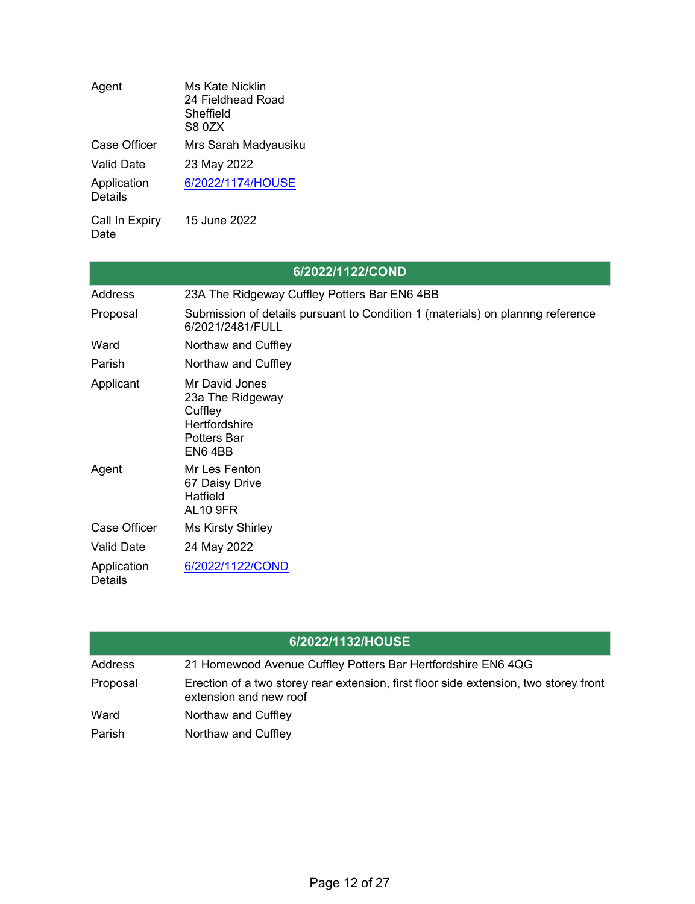| Agent                         | Ms Kate Nicklin<br>24 Fieldhead Road<br>Sheffield<br>S8 0ZX |
|-------------------------------|-------------------------------------------------------------|
| <b>Case Officer</b>           | Mrs Sarah Madyausiku                                        |
| Valid Date                    | 23 May 2022                                                 |
| Application<br><b>Details</b> | 6/2022/1174/HOUSE                                           |
| Call In Expiry                | 15 June 2022                                                |

Date

|                               | 6/2022/1122/COND                                                                                      |
|-------------------------------|-------------------------------------------------------------------------------------------------------|
| Address                       | 23A The Ridgeway Cuffley Potters Bar EN6 4BB                                                          |
| Proposal                      | Submission of details pursuant to Condition 1 (materials) on plannng reference<br>6/2021/2481/FULL    |
| Ward                          | Northaw and Cuffley                                                                                   |
| Parish                        | Northaw and Cuffley                                                                                   |
| Applicant                     | Mr David Jones<br>23a The Ridgeway<br>Cuffley<br><b>Hertfordshire</b><br><b>Potters Bar</b><br>EN64BB |
| Agent                         | Mr Les Fenton<br>67 Daisy Drive<br><b>Hatfield</b><br><b>AL10 9FR</b>                                 |
| Case Officer                  | <b>Ms Kirsty Shirley</b>                                                                              |
| <b>Valid Date</b>             | 24 May 2022                                                                                           |
| Application<br><b>Details</b> | 6/2022/1122/COND                                                                                      |

|          | 6/2022/1132/HOUSE                                                                                               |
|----------|-----------------------------------------------------------------------------------------------------------------|
| Address  | 21 Homewood Avenue Cuffley Potters Bar Hertfordshire EN6 4QG                                                    |
| Proposal | Erection of a two storey rear extension, first floor side extension, two storey front<br>extension and new roof |
| Ward     | Northaw and Cuffley                                                                                             |
| Parish   | Northaw and Cuffley                                                                                             |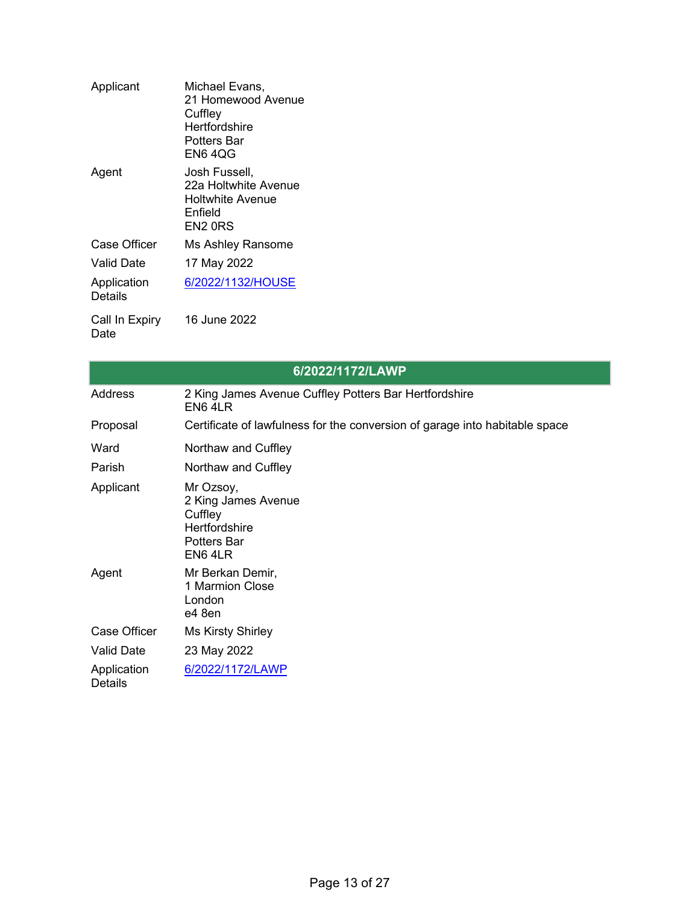| Applicant              | Michael Evans,<br>21 Homewood Avenue<br>Cuffley<br>Hertfordshire<br>Potters Bar<br>EN6 4QG |
|------------------------|--------------------------------------------------------------------------------------------|
| Agent                  | Josh Fussell,<br>22a Holtwhite Avenue<br>Holtwhite Avenue<br>Enfield<br>EN2 0RS            |
| Case Officer           | Ms Ashley Ransome                                                                          |
| Valid Date             | 17 May 2022                                                                                |
| Application<br>Details | 6/2022/1132/HOUSE                                                                          |
| Call In Expiry<br>Date | 16 June 2022                                                                               |

| 6/2022/1172/LAWP              |                                                                                                     |
|-------------------------------|-----------------------------------------------------------------------------------------------------|
| Address                       | 2 King James Avenue Cuffley Potters Bar Hertfordshire<br>EN6 4LR                                    |
| Proposal                      | Certificate of lawfulness for the conversion of garage into habitable space                         |
| Ward                          | Northaw and Cuffley                                                                                 |
| Parish                        | Northaw and Cuffley                                                                                 |
| Applicant                     | Mr Ozsoy,<br>2 King James Avenue<br>Cuffley<br><b>Hertfordshire</b><br><b>Potters Bar</b><br>EN64LR |
| Agent                         | Mr Berkan Demir,<br>1 Marmion Close<br>London<br>e4 8en                                             |
| Case Officer                  | <b>Ms Kirsty Shirley</b>                                                                            |
| <b>Valid Date</b>             | 23 May 2022                                                                                         |
| Application<br><b>Details</b> | 6/2022/1172/LAWP                                                                                    |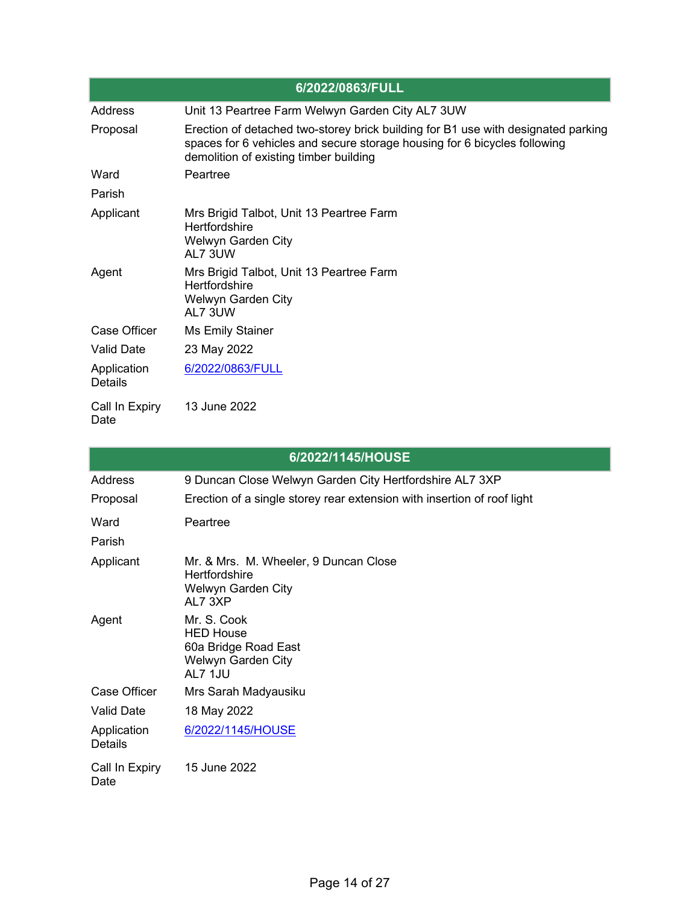| 6/2022/0863/FULL       |                                                                                                                                                                                                          |
|------------------------|----------------------------------------------------------------------------------------------------------------------------------------------------------------------------------------------------------|
| Address                | Unit 13 Peartree Farm Welwyn Garden City AL7 3UW                                                                                                                                                         |
| Proposal               | Erection of detached two-storey brick building for B1 use with designated parking<br>spaces for 6 vehicles and secure storage housing for 6 bicycles following<br>demolition of existing timber building |
| Ward                   | Peartree                                                                                                                                                                                                 |
| Parish                 |                                                                                                                                                                                                          |
| Applicant              | Mrs Brigid Talbot, Unit 13 Peartree Farm<br><b>Hertfordshire</b><br>Welwyn Garden City<br>AL7 3UW                                                                                                        |
| Agent                  | Mrs Brigid Talbot, Unit 13 Peartree Farm<br>Hertfordshire<br>Welwyn Garden City<br>AL7 3UW                                                                                                               |
| Case Officer           | Ms Emily Stainer                                                                                                                                                                                         |
| Valid Date             | 23 May 2022                                                                                                                                                                                              |
| Application<br>Details | 6/2022/0863/FULL                                                                                                                                                                                         |
| Call In Expiry<br>Date | 13 June 2022                                                                                                                                                                                             |

| 6/2022/1145/HOUSE             |                                                                                                       |  |
|-------------------------------|-------------------------------------------------------------------------------------------------------|--|
| Address                       | 9 Duncan Close Welwyn Garden City Hertfordshire AL7 3XP                                               |  |
| Proposal                      | Erection of a single storey rear extension with insertion of roof light                               |  |
| Ward                          | Peartree                                                                                              |  |
| Parish                        |                                                                                                       |  |
| Applicant                     | Mr. & Mrs. M. Wheeler, 9 Duncan Close<br><b>Hertfordshire</b><br><b>Welwyn Garden City</b><br>AL7 3XP |  |
| Agent                         | Mr. S. Cook<br><b>HED House</b><br>60a Bridge Road East<br>Welwyn Garden City<br>AL7 1JU              |  |
| Case Officer                  | Mrs Sarah Madyausiku                                                                                  |  |
| <b>Valid Date</b>             | 18 May 2022                                                                                           |  |
| Application<br><b>Details</b> | 6/2022/1145/HOUSE                                                                                     |  |
| Call In Expiry<br>Date        | 15 June 2022                                                                                          |  |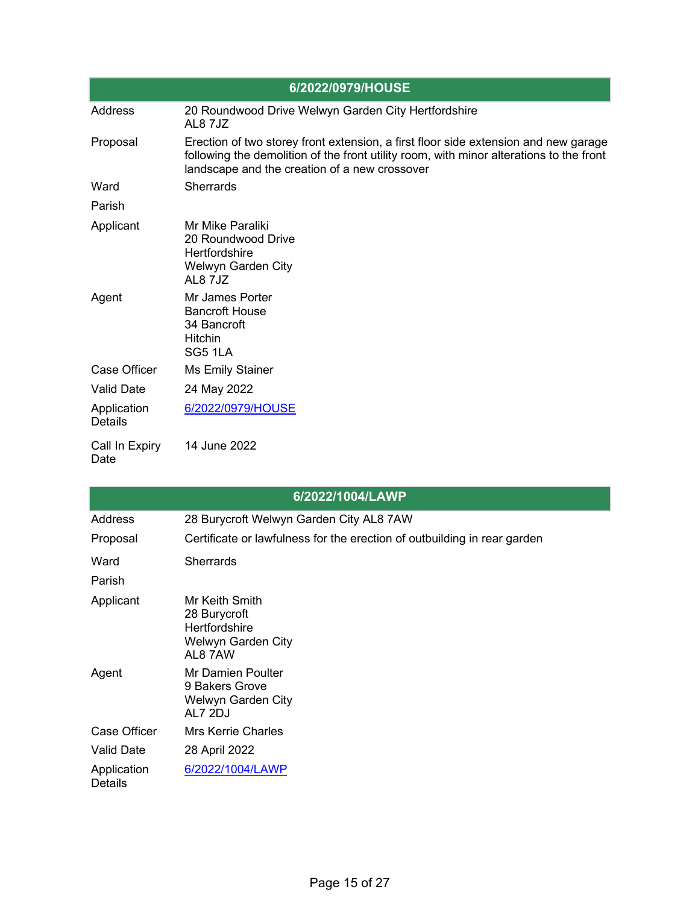| 6/2022/0979/HOUSE             |                                                                                                                                                                                                                                 |  |
|-------------------------------|---------------------------------------------------------------------------------------------------------------------------------------------------------------------------------------------------------------------------------|--|
| Address                       | 20 Roundwood Drive Welwyn Garden City Hertfordshire<br>AL8 7JZ                                                                                                                                                                  |  |
| Proposal                      | Erection of two storey front extension, a first floor side extension and new garage<br>following the demolition of the front utility room, with minor alterations to the front<br>landscape and the creation of a new crossover |  |
| Ward                          | <b>Sherrards</b>                                                                                                                                                                                                                |  |
| Parish                        |                                                                                                                                                                                                                                 |  |
| Applicant                     | Mr Mike Paraliki<br>20 Roundwood Drive<br><b>Hertfordshire</b><br>Welwyn Garden City<br>AL8 7JZ                                                                                                                                 |  |
| Agent                         | Mr James Porter<br><b>Bancroft House</b><br>34 Bancroft<br><b>Hitchin</b><br>SG5 1LA                                                                                                                                            |  |
| Case Officer                  | <b>Ms Emily Stainer</b>                                                                                                                                                                                                         |  |
| <b>Valid Date</b>             | 24 May 2022                                                                                                                                                                                                                     |  |
| Application<br><b>Details</b> | 6/2022/0979/HOUSE                                                                                                                                                                                                               |  |
| Call In Expiry<br>Date        | 14 June 2022                                                                                                                                                                                                                    |  |

|                               | 6/2022/1004/LAWP                                                                 |
|-------------------------------|----------------------------------------------------------------------------------|
| Address                       | 28 Burycroft Welwyn Garden City AL8 7AW                                          |
| Proposal                      | Certificate or lawfulness for the erection of outbuilding in rear garden         |
| Ward                          | <b>Sherrards</b>                                                                 |
| Parish                        |                                                                                  |
| Applicant                     | Mr Keith Smith<br>28 Burycroft<br>Hertfordshire<br>Welwyn Garden City<br>AL8 7AW |
| Agent                         | <b>Mr Damien Poulter</b><br>9 Bakers Grove<br>Welwyn Garden City<br>AL7 2DJ      |
| Case Officer                  | <b>Mrs Kerrie Charles</b>                                                        |
| <b>Valid Date</b>             | 28 April 2022                                                                    |
| Application<br><b>Details</b> | 6/2022/1004/LAWP                                                                 |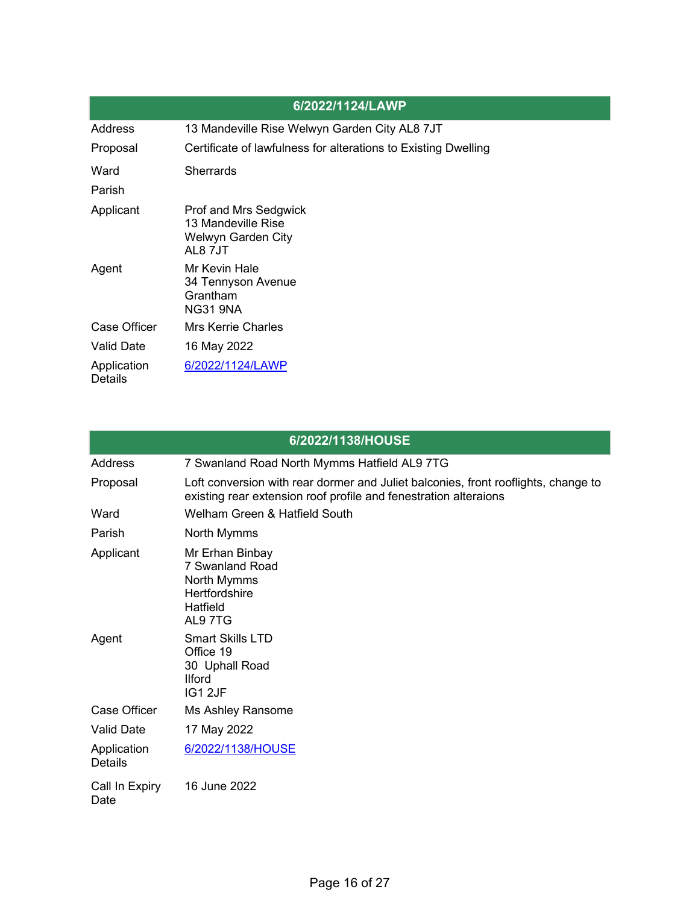|                        | 6/2022/1124/LAWP                                                                    |
|------------------------|-------------------------------------------------------------------------------------|
| Address                | 13 Mandeville Rise Welwyn Garden City AL8 7JT                                       |
| Proposal               | Certificate of lawfulness for alterations to Existing Dwelling                      |
| Ward                   | <b>Sherrards</b>                                                                    |
| Parish                 |                                                                                     |
| Applicant              | <b>Prof and Mrs Sedgwick</b><br>13 Mandeville Rise<br>Welwyn Garden City<br>AL8 7JT |
| Agent                  | Mr Kevin Hale<br>34 Tennyson Avenue<br>Grantham<br>NG31 9NA                         |
| Case Officer           | <b>Mrs Kerrie Charles</b>                                                           |
| <b>Valid Date</b>      | 16 May 2022                                                                         |
| Application<br>Details | 6/2022/1124/LAWP                                                                    |

| 6/2022/1138/HOUSE      |                                                                                                                                                        |  |
|------------------------|--------------------------------------------------------------------------------------------------------------------------------------------------------|--|
| <b>Address</b>         | 7 Swanland Road North Mymms Hatfield AL9 7TG                                                                                                           |  |
| Proposal               | Loft conversion with rear dormer and Juliet balconies, front rooflights, change to<br>existing rear extension roof profile and fenestration alteraions |  |
| Ward                   | Welham Green & Hatfield South                                                                                                                          |  |
| Parish                 | North Mymms                                                                                                                                            |  |
| Applicant              | Mr Erhan Binbay<br>7 Swanland Road<br>North Mymms<br><b>Hertfordshire</b><br>Hatfield<br>AL97TG                                                        |  |
| Agent                  | <b>Smart Skills LTD</b><br>Office 19<br>30 Uphall Road<br><b>Ilford</b><br>IG12JF                                                                      |  |
| <b>Case Officer</b>    | Ms Ashley Ransome                                                                                                                                      |  |
| <b>Valid Date</b>      | 17 May 2022                                                                                                                                            |  |
| Application<br>Details | 6/2022/1138/HOUSE                                                                                                                                      |  |
| Call In Expiry<br>Date | 16 June 2022                                                                                                                                           |  |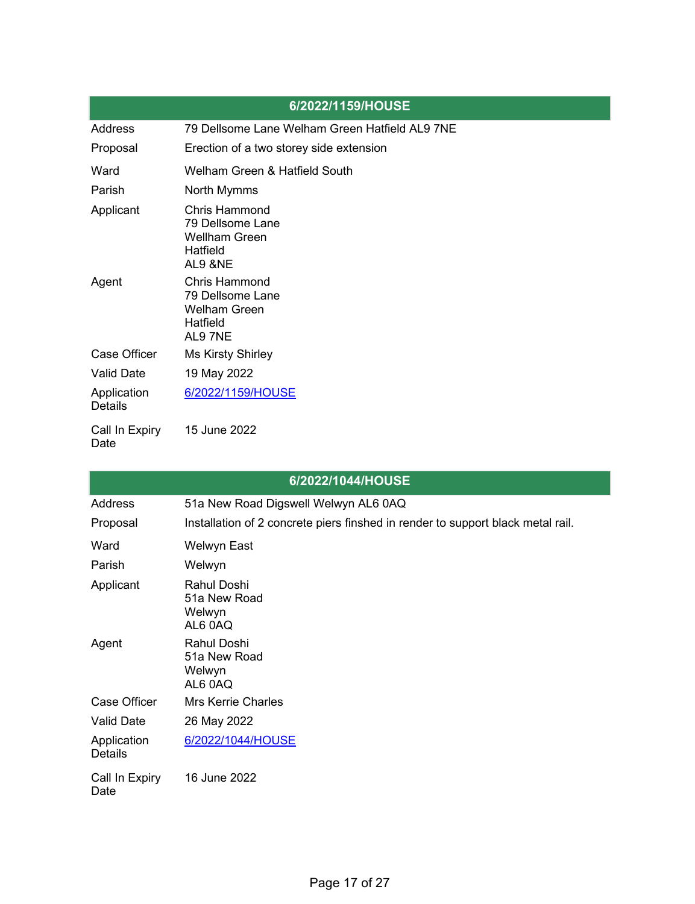|                               | 6/2022/1159/HOUSE                                                                       |
|-------------------------------|-----------------------------------------------------------------------------------------|
| Address                       | 79 Dellsome Lane Welham Green Hatfield AL9 7NE                                          |
| Proposal                      | Erection of a two storey side extension                                                 |
| Ward                          | Welham Green & Hatfield South                                                           |
| Parish                        | North Mymms                                                                             |
| Applicant                     | <b>Chris Hammond</b><br>79 Dellsome Lane<br><b>Wellham Green</b><br>Hatfield<br>AL9 &NE |
| Agent                         | <b>Chris Hammond</b><br>79 Dellsome Lane<br><b>Welham Green</b><br>Hatfield<br>AL97NE   |
| Case Officer                  | <b>Ms Kirsty Shirley</b>                                                                |
| <b>Valid Date</b>             | 19 May 2022                                                                             |
| Application<br><b>Details</b> | 6/2022/1159/HOUSE                                                                       |
| Call In Expiry<br>Date        | 15 June 2022                                                                            |

|                               | 6/2022/1044/HOUSE                                                               |
|-------------------------------|---------------------------------------------------------------------------------|
| <b>Address</b>                | 51a New Road Digswell Welwyn AL6 0AQ                                            |
| Proposal                      | Installation of 2 concrete piers finshed in render to support black metal rail. |
| Ward                          | Welwyn East                                                                     |
| Parish                        | Welwyn                                                                          |
| Applicant                     | <b>Rahul Doshi</b><br>51a New Road<br>Welwyn<br>AL6 0AQ                         |
| Agent                         | <b>Rahul Doshi</b><br>51a New Road<br>Welwyn<br>AL6 0AQ                         |
| Case Officer                  | <b>Mrs Kerrie Charles</b>                                                       |
| <b>Valid Date</b>             | 26 May 2022                                                                     |
| Application<br><b>Details</b> | 6/2022/1044/HOUSE                                                               |
| Call In Expiry<br>Date        | 16 June 2022                                                                    |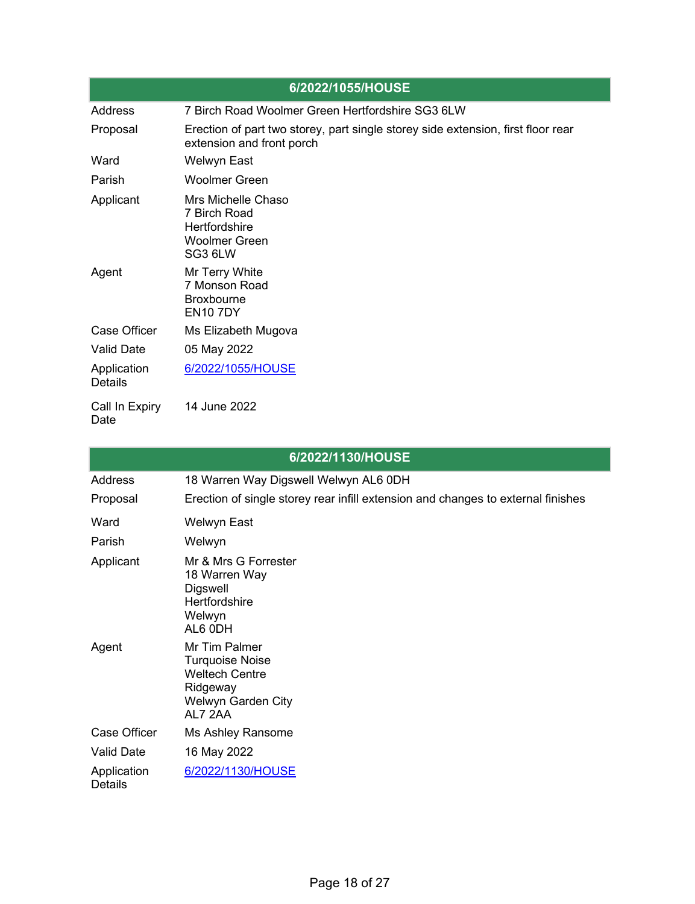| 6/2022/1055/HOUSE             |                                                                                                               |  |
|-------------------------------|---------------------------------------------------------------------------------------------------------------|--|
| Address                       | 7 Birch Road Woolmer Green Hertfordshire SG3 6LW                                                              |  |
| Proposal                      | Erection of part two storey, part single storey side extension, first floor rear<br>extension and front porch |  |
| Ward                          | <b>Welwyn East</b>                                                                                            |  |
| Parish                        | <b>Woolmer Green</b>                                                                                          |  |
| Applicant                     | Mrs Michelle Chaso<br>7 Birch Road<br>Hertfordshire<br><b>Woolmer Green</b><br>SG3 6LW                        |  |
| Agent                         | Mr Terry White<br>7 Monson Road<br><b>Broxbourne</b><br><b>EN107DY</b>                                        |  |
| <b>Case Officer</b>           | Ms Elizabeth Mugova                                                                                           |  |
| <b>Valid Date</b>             | 05 May 2022                                                                                                   |  |
| Application<br><b>Details</b> | 6/2022/1055/HOUSE                                                                                             |  |
| Call In Expiry<br>Date        | 14 June 2022                                                                                                  |  |

| 6/2022/1130/HOUSE             |                                                                                                               |  |
|-------------------------------|---------------------------------------------------------------------------------------------------------------|--|
| <b>Address</b>                | 18 Warren Way Digswell Welwyn AL6 0DH                                                                         |  |
| Proposal                      | Erection of single storey rear infill extension and changes to external finishes                              |  |
| Ward                          | Welwyn East                                                                                                   |  |
| Parish                        | Welwyn                                                                                                        |  |
| Applicant                     | Mr & Mrs G Forrester<br>18 Warren Way<br>Digswell<br>Hertfordshire<br>Welwyn<br>AL6 0DH                       |  |
| Agent                         | Mr Tim Palmer<br><b>Turquoise Noise</b><br><b>Weltech Centre</b><br>Ridgeway<br>Welwyn Garden City<br>AL7 2AA |  |
| Case Officer                  | Ms Ashley Ransome                                                                                             |  |
| <b>Valid Date</b>             | 16 May 2022                                                                                                   |  |
| Application<br><b>Details</b> | 6/2022/1130/HOUSE                                                                                             |  |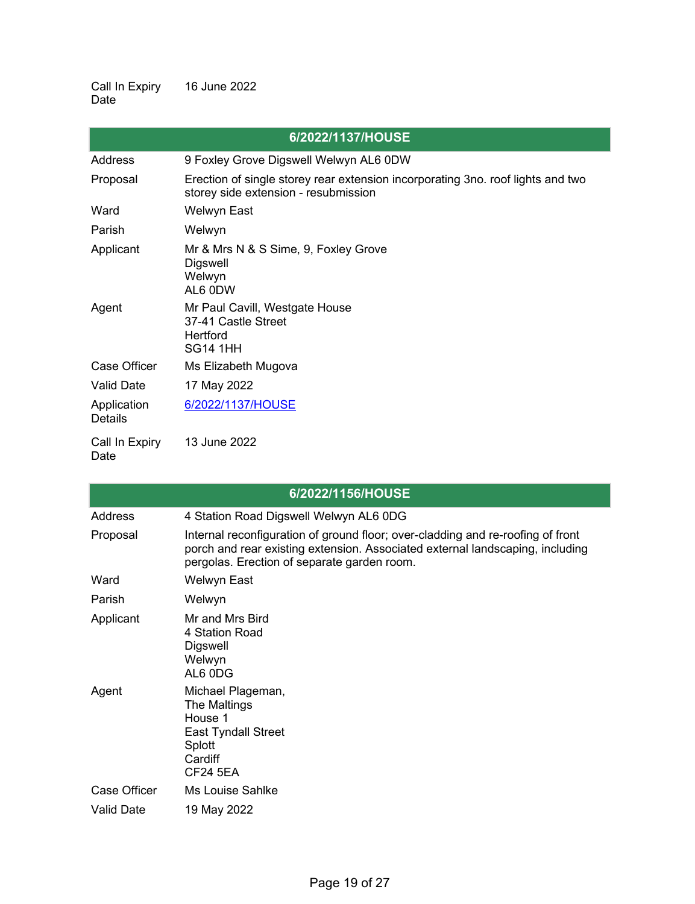Call In Expiry Date 16 June 2022

|                               | 6/2022/1137/HOUSE                                                                                                       |
|-------------------------------|-------------------------------------------------------------------------------------------------------------------------|
| Address                       | 9 Foxley Grove Digswell Welwyn AL6 0DW                                                                                  |
| Proposal                      | Erection of single storey rear extension incorporating 3no. roof lights and two<br>storey side extension - resubmission |
| Ward                          | Welwyn East                                                                                                             |
| Parish                        | Welwyn                                                                                                                  |
| Applicant                     | Mr & Mrs N & S Sime, 9, Foxley Grove<br>Digswell<br>Welwyn<br>AL6 0DW                                                   |
| Agent                         | Mr Paul Cavill, Westgate House<br>37-41 Castle Street<br>Hertford<br><b>SG14 1HH</b>                                    |
| Case Officer                  | Ms Elizabeth Mugova                                                                                                     |
| <b>Valid Date</b>             | 17 May 2022                                                                                                             |
| Application<br><b>Details</b> | 6/2022/1137/HOUSE                                                                                                       |
| Call In Expiry<br>Date        | 13 June 2022                                                                                                            |

|                   | 6/2022/1156/HOUSE                                                                                                                                                                                               |
|-------------------|-----------------------------------------------------------------------------------------------------------------------------------------------------------------------------------------------------------------|
| Address           | 4 Station Road Digswell Welwyn AL6 0DG                                                                                                                                                                          |
| Proposal          | Internal reconfiguration of ground floor; over-cladding and re-roofing of front<br>porch and rear existing extension. Associated external landscaping, including<br>pergolas. Erection of separate garden room. |
| Ward              | Welwyn East                                                                                                                                                                                                     |
| Parish            | Welwyn                                                                                                                                                                                                          |
| Applicant         | Mr and Mrs Bird<br>4 Station Road<br>Digswell<br>Welwyn<br>AL6 0DG                                                                                                                                              |
| Agent             | Michael Plageman,<br>The Maltings<br>House 1<br><b>East Tyndall Street</b><br>Splott<br>Cardiff<br><b>CF24 5EA</b>                                                                                              |
| Case Officer      | <b>Ms Louise Sahlke</b>                                                                                                                                                                                         |
| <b>Valid Date</b> | 19 May 2022                                                                                                                                                                                                     |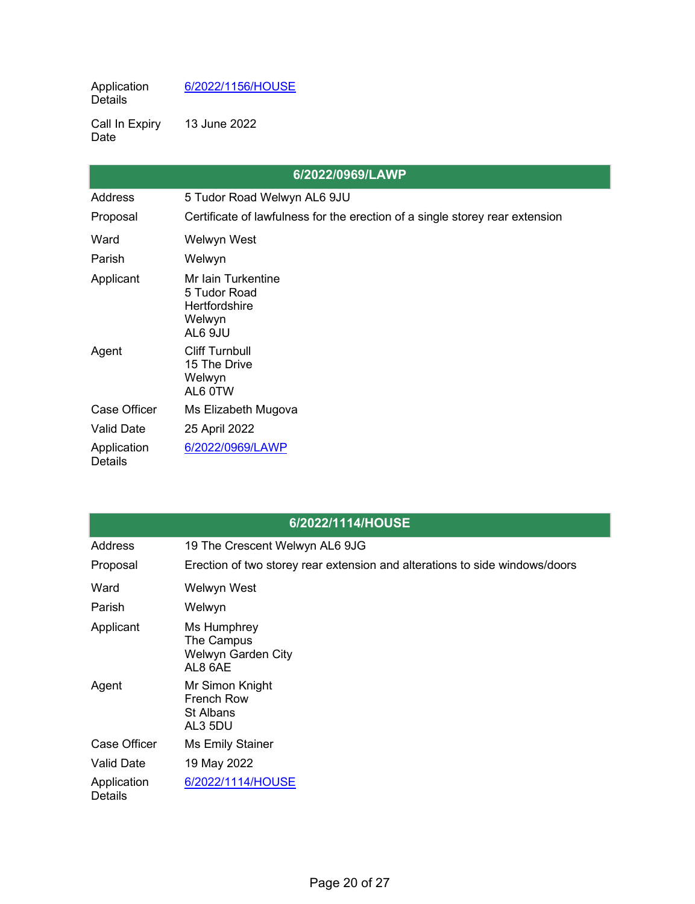Application Details [6/2022/1156/HOUSE](https://planning.welhat.gov.uk/planning/display/6/2022/1156/HOUSE)

Call In Expiry Date 13 June 2022

|                               | 6/2022/0969/LAWP                                                             |
|-------------------------------|------------------------------------------------------------------------------|
| <b>Address</b>                | 5 Tudor Road Welwyn AL6 9JU                                                  |
| Proposal                      | Certificate of lawfulness for the erection of a single storey rear extension |
| Ward                          | Welwyn West                                                                  |
| Parish                        | Welwyn                                                                       |
| Applicant                     | Mr Iain Turkentine<br>5 Tudor Road<br>Hertfordshire<br>Welwyn<br>AL6 9JU     |
| Agent                         | <b>Cliff Turnbull</b><br>15 The Drive<br>Welwyn<br>AL6 0TW                   |
| <b>Case Officer</b>           | Ms Elizabeth Mugova                                                          |
| <b>Valid Date</b>             | 25 April 2022                                                                |
| Application<br><b>Details</b> | 6/2022/0969/LAWP                                                             |

|                               | 6/2022/1114/HOUSE                                                           |
|-------------------------------|-----------------------------------------------------------------------------|
| Address                       | 19 The Crescent Welwyn AL6 9JG                                              |
| Proposal                      | Erection of two storey rear extension and alterations to side windows/doors |
| Ward                          | Welwyn West                                                                 |
| Parish                        | Welwyn                                                                      |
| Applicant                     | Ms Humphrey<br>The Campus<br>Welwyn Garden City<br>AL8 6AE                  |
| Agent                         | Mr Simon Knight<br><b>French Row</b><br><b>St Albans</b><br>AL3 5DU         |
| Case Officer                  | <b>Ms Emily Stainer</b>                                                     |
| <b>Valid Date</b>             | 19 May 2022                                                                 |
| Application<br><b>Details</b> | 6/2022/1114/HOUSE                                                           |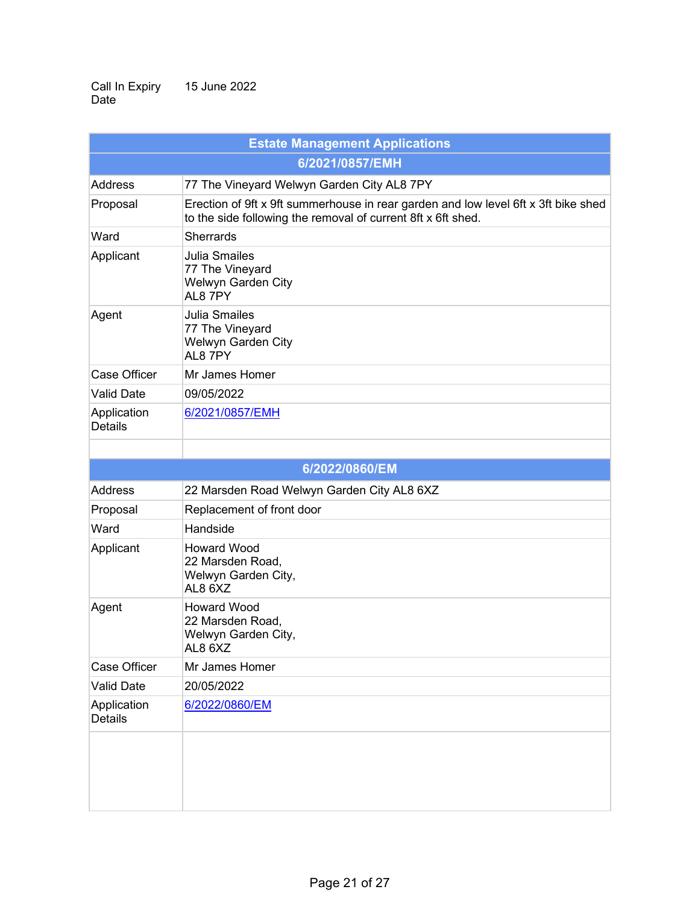Call In Expiry Date 15 June 2022

| <b>Estate Management Applications</b> |                                                                                                                                                    |
|---------------------------------------|----------------------------------------------------------------------------------------------------------------------------------------------------|
| 6/2021/0857/EMH                       |                                                                                                                                                    |
| Address                               | 77 The Vineyard Welwyn Garden City AL8 7PY                                                                                                         |
| Proposal                              | Erection of 9ft x 9ft summerhouse in rear garden and low level 6ft x 3ft bike shed<br>to the side following the removal of current 8ft x 6ft shed. |
| Ward                                  | <b>Sherrards</b>                                                                                                                                   |
| Applicant                             | <b>Julia Smailes</b><br>77 The Vineyard<br>Welwyn Garden City<br>AL87PY                                                                            |
| Agent                                 | <b>Julia Smailes</b><br>77 The Vineyard<br>Welwyn Garden City<br>AL8 7PY                                                                           |
| <b>Case Officer</b>                   | Mr James Homer                                                                                                                                     |
| <b>Valid Date</b>                     | 09/05/2022                                                                                                                                         |
| Application<br><b>Details</b>         | 6/2021/0857/EMH                                                                                                                                    |
|                                       |                                                                                                                                                    |
|                                       | 6/2022/0860/EM                                                                                                                                     |
| <b>Address</b>                        | 22 Marsden Road Welwyn Garden City AL8 6XZ                                                                                                         |
| Proposal                              | Replacement of front door                                                                                                                          |
| Ward                                  | Handside                                                                                                                                           |
| Applicant                             | <b>Howard Wood</b><br>22 Marsden Road,<br>Welwyn Garden City,<br>AL8 6XZ                                                                           |
| Agent                                 | <b>Howard Wood</b><br>22 Marsden Road,<br>Welwyn Garden City,<br>AL8 6XZ                                                                           |
| <b>Case Officer</b>                   | Mr James Homer                                                                                                                                     |
| <b>Valid Date</b>                     | 20/05/2022                                                                                                                                         |
| Application<br><b>Details</b>         | 6/2022/0860/EM                                                                                                                                     |
|                                       |                                                                                                                                                    |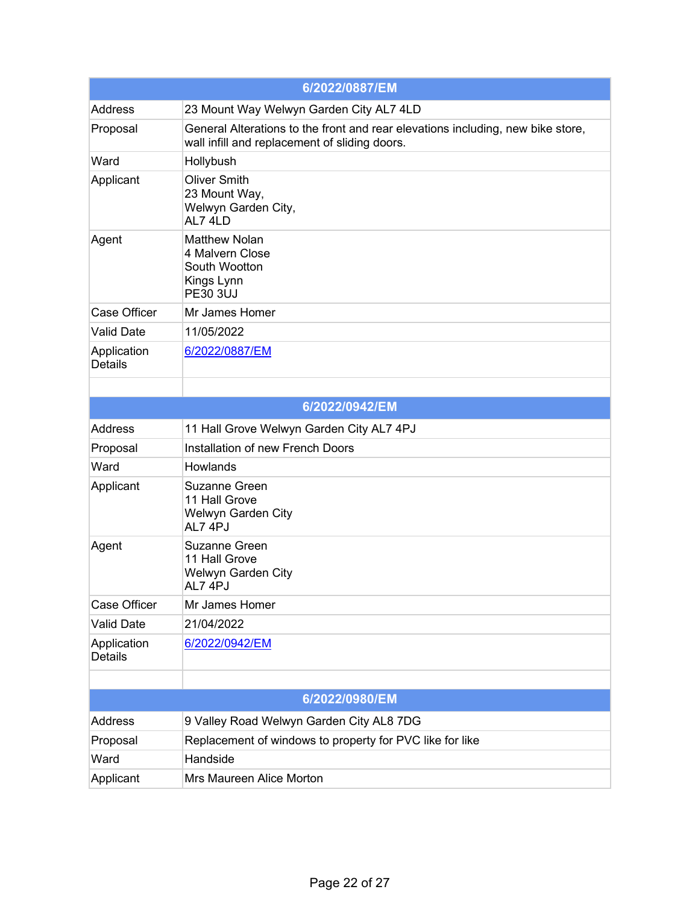| 6/2022/0887/EM                |                                                                                                                                  |
|-------------------------------|----------------------------------------------------------------------------------------------------------------------------------|
| <b>Address</b>                | 23 Mount Way Welwyn Garden City AL7 4LD                                                                                          |
| Proposal                      | General Alterations to the front and rear elevations including, new bike store,<br>wall infill and replacement of sliding doors. |
| Ward                          | Hollybush                                                                                                                        |
| Applicant                     | <b>Oliver Smith</b><br>23 Mount Way,<br>Welwyn Garden City,<br>AL7 4LD                                                           |
| Agent                         | <b>Matthew Nolan</b><br>4 Malvern Close<br>South Wootton<br>Kings Lynn<br><b>PE30 3UJ</b>                                        |
| Case Officer                  | Mr James Homer                                                                                                                   |
| <b>Valid Date</b>             | 11/05/2022                                                                                                                       |
| Application<br><b>Details</b> | 6/2022/0887/EM                                                                                                                   |
|                               |                                                                                                                                  |
|                               | 6/2022/0942/EM                                                                                                                   |
| <b>Address</b>                | 11 Hall Grove Welwyn Garden City AL7 4PJ                                                                                         |
| Proposal                      | Installation of new French Doors                                                                                                 |
| Ward                          | Howlands                                                                                                                         |
| Applicant                     | <b>Suzanne Green</b><br>11 Hall Grove<br>Welwyn Garden City<br>AL7 4PJ                                                           |
| Agent                         | <b>Suzanne Green</b><br>11 Hall Grove<br>Welwyn Garden City<br>AL74PJ                                                            |
| Case Officer                  | Mr James Homer                                                                                                                   |
| <b>Valid Date</b>             | 21/04/2022                                                                                                                       |
| Application<br><b>Details</b> | 6/2022/0942/EM                                                                                                                   |
|                               |                                                                                                                                  |
|                               | 6/2022/0980/EM                                                                                                                   |
| <b>Address</b>                | 9 Valley Road Welwyn Garden City AL8 7DG                                                                                         |
| Proposal                      | Replacement of windows to property for PVC like for like                                                                         |
| Ward                          | Handside                                                                                                                         |
| Applicant                     | Mrs Maureen Alice Morton                                                                                                         |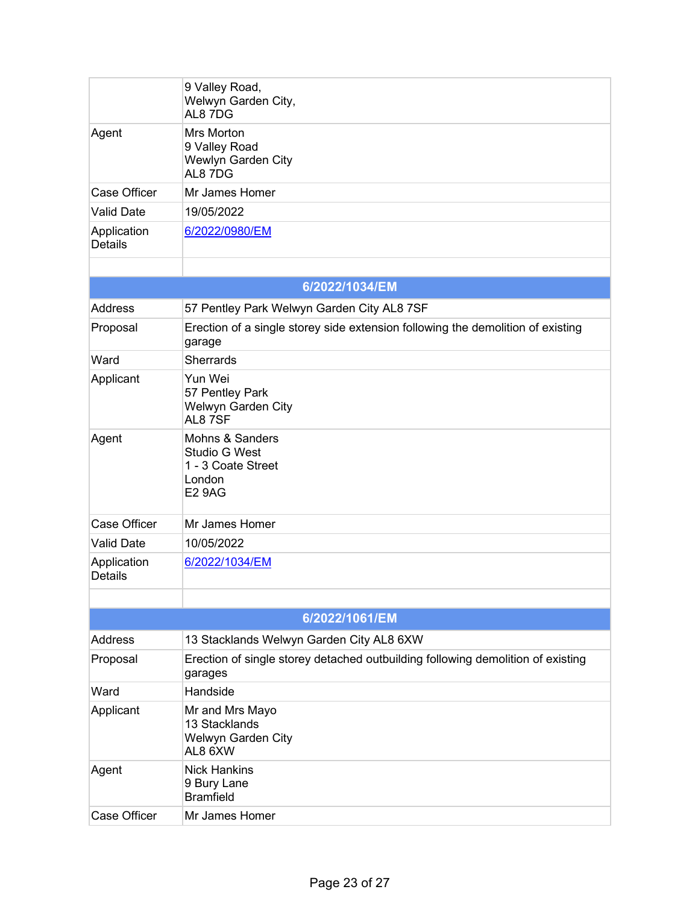|                               | 9 Valley Road,<br>Welwyn Garden City,<br>AL8 7DG                                                    |
|-------------------------------|-----------------------------------------------------------------------------------------------------|
| Agent                         | <b>Mrs Morton</b><br>9 Valley Road<br>Wewlyn Garden City<br>AL8 7DG                                 |
| <b>Case Officer</b>           | Mr James Homer                                                                                      |
| <b>Valid Date</b>             | 19/05/2022                                                                                          |
| Application<br><b>Details</b> | 6/2022/0980/EM                                                                                      |
|                               |                                                                                                     |
|                               | 6/2022/1034/EM                                                                                      |
| <b>Address</b>                | 57 Pentley Park Welwyn Garden City AL8 7SF                                                          |
| Proposal                      | Erection of a single storey side extension following the demolition of existing<br>garage           |
| Ward                          | <b>Sherrards</b>                                                                                    |
| Applicant                     | Yun Wei<br>57 Pentley Park<br>Welwyn Garden City<br>AL87SF                                          |
| Agent                         | <b>Mohns &amp; Sanders</b><br><b>Studio G West</b><br>1 - 3 Coate Street<br>London<br><b>E2 9AG</b> |
| <b>Case Officer</b>           | Mr James Homer                                                                                      |
| <b>Valid Date</b>             | 10/05/2022                                                                                          |
| Application<br><b>Details</b> | 6/2022/1034/EM                                                                                      |
|                               |                                                                                                     |
|                               | 6/2022/1061/EM                                                                                      |
| <b>Address</b>                | 13 Stacklands Welwyn Garden City AL8 6XW                                                            |
| Proposal                      | Erection of single storey detached outbuilding following demolition of existing<br>garages          |
| Ward                          | Handside                                                                                            |
| Applicant                     | Mr and Mrs Mayo<br>13 Stacklands<br>Welwyn Garden City<br>AL8 6XW                                   |
| Agent                         | <b>Nick Hankins</b><br>9 Bury Lane<br><b>Bramfield</b>                                              |
| <b>Case Officer</b>           | Mr James Homer                                                                                      |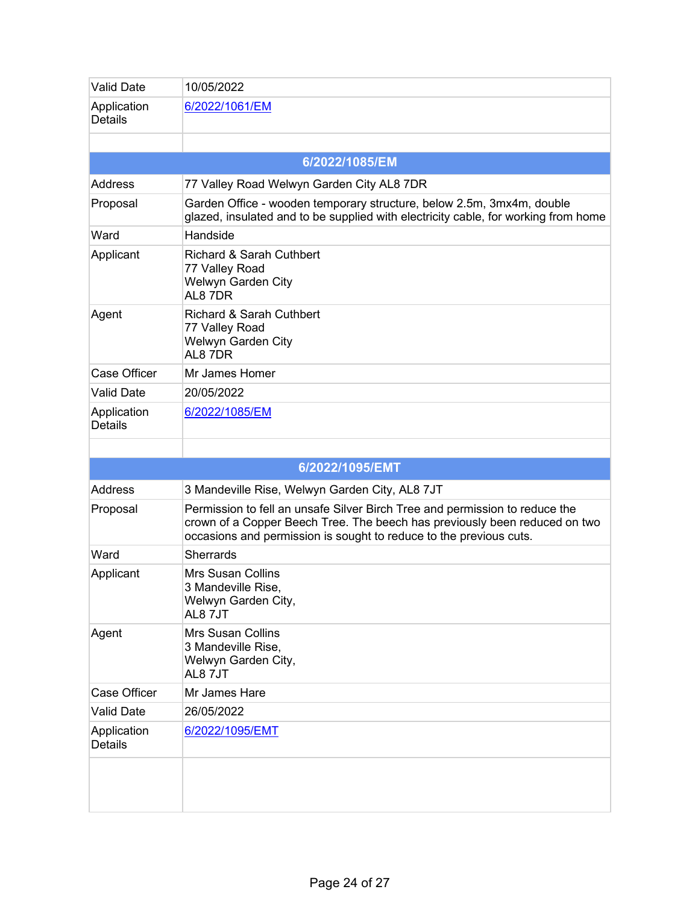| <b>Valid Date</b>             | 10/05/2022                                                                                                                                                                                                                      |
|-------------------------------|---------------------------------------------------------------------------------------------------------------------------------------------------------------------------------------------------------------------------------|
| Application<br><b>Details</b> | 6/2022/1061/EM                                                                                                                                                                                                                  |
|                               |                                                                                                                                                                                                                                 |
|                               | 6/2022/1085/EM                                                                                                                                                                                                                  |
| <b>Address</b>                | 77 Valley Road Welwyn Garden City AL8 7DR                                                                                                                                                                                       |
| Proposal                      | Garden Office - wooden temporary structure, below 2.5m, 3mx4m, double<br>glazed, insulated and to be supplied with electricity cable, for working from home                                                                     |
| Ward                          | Handside                                                                                                                                                                                                                        |
| Applicant                     | <b>Richard &amp; Sarah Cuthbert</b><br>77 Valley Road<br>Welwyn Garden City<br>AL8 7DR                                                                                                                                          |
| Agent                         | <b>Richard &amp; Sarah Cuthbert</b><br>77 Valley Road<br>Welwyn Garden City<br>AL8 7DR                                                                                                                                          |
| <b>Case Officer</b>           | Mr James Homer                                                                                                                                                                                                                  |
| <b>Valid Date</b>             | 20/05/2022                                                                                                                                                                                                                      |
| Application<br><b>Details</b> | 6/2022/1085/EM                                                                                                                                                                                                                  |
|                               |                                                                                                                                                                                                                                 |
|                               |                                                                                                                                                                                                                                 |
|                               | 6/2022/1095/EMT                                                                                                                                                                                                                 |
| <b>Address</b>                | 3 Mandeville Rise, Welwyn Garden City, AL8 7JT                                                                                                                                                                                  |
| Proposal                      | Permission to fell an unsafe Silver Birch Tree and permission to reduce the<br>crown of a Copper Beech Tree. The beech has previously been reduced on two<br>occasions and permission is sought to reduce to the previous cuts. |
| Ward                          | <b>Sherrards</b>                                                                                                                                                                                                                |
| Applicant                     | <b>Mrs Susan Collins</b><br>3 Mandeville Rise,<br>Welwyn Garden City,<br>AL87JT                                                                                                                                                 |
| Agent                         | <b>Mrs Susan Collins</b><br>3 Mandeville Rise,<br>Welwyn Garden City,<br>AL87JT                                                                                                                                                 |
| <b>Case Officer</b>           | Mr James Hare                                                                                                                                                                                                                   |
| <b>Valid Date</b>             | 26/05/2022                                                                                                                                                                                                                      |
| Application<br><b>Details</b> | 6/2022/1095/EMT                                                                                                                                                                                                                 |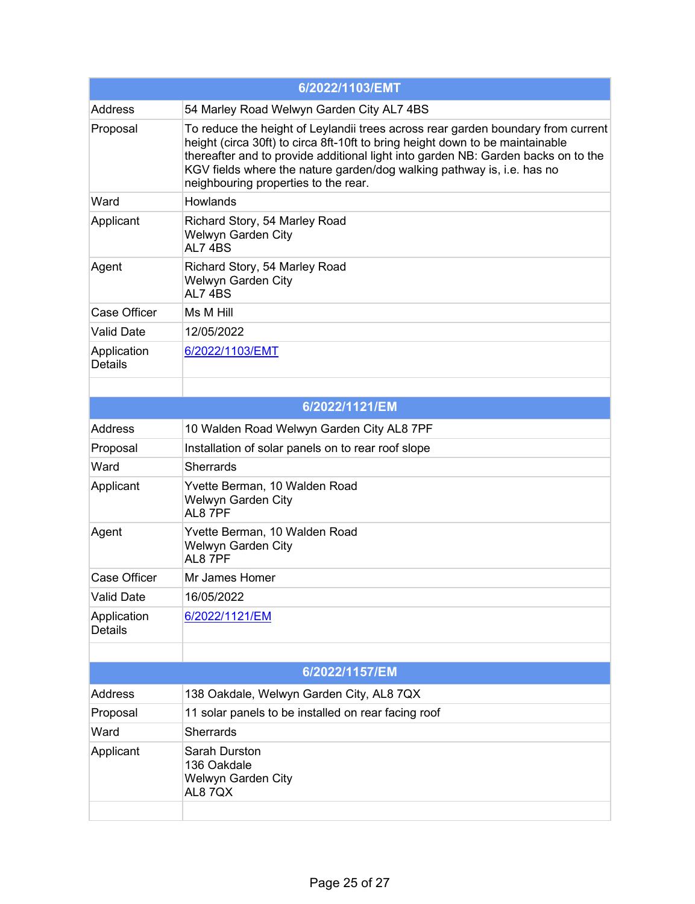| 6/2022/1103/EMT               |                                                                                                                                                                                                                                                                                                                                                                          |
|-------------------------------|--------------------------------------------------------------------------------------------------------------------------------------------------------------------------------------------------------------------------------------------------------------------------------------------------------------------------------------------------------------------------|
| <b>Address</b>                | 54 Marley Road Welwyn Garden City AL7 4BS                                                                                                                                                                                                                                                                                                                                |
| Proposal                      | To reduce the height of Leylandii trees across rear garden boundary from current<br>height (circa 30ft) to circa 8ft-10ft to bring height down to be maintainable<br>thereafter and to provide additional light into garden NB: Garden backs on to the<br>KGV fields where the nature garden/dog walking pathway is, i.e. has no<br>neighbouring properties to the rear. |
| Ward                          | <b>Howlands</b>                                                                                                                                                                                                                                                                                                                                                          |
| Applicant                     | Richard Story, 54 Marley Road<br>Welwyn Garden City<br>AL74BS                                                                                                                                                                                                                                                                                                            |
| Agent                         | Richard Story, 54 Marley Road<br>Welwyn Garden City<br>AL74BS                                                                                                                                                                                                                                                                                                            |
| <b>Case Officer</b>           | Ms M Hill                                                                                                                                                                                                                                                                                                                                                                |
| <b>Valid Date</b>             | 12/05/2022                                                                                                                                                                                                                                                                                                                                                               |
| Application<br><b>Details</b> | 6/2022/1103/EMT                                                                                                                                                                                                                                                                                                                                                          |
|                               |                                                                                                                                                                                                                                                                                                                                                                          |
|                               | 6/2022/1121/EM                                                                                                                                                                                                                                                                                                                                                           |
| <b>Address</b>                | 10 Walden Road Welwyn Garden City AL8 7PF                                                                                                                                                                                                                                                                                                                                |
| Proposal                      | Installation of solar panels on to rear roof slope                                                                                                                                                                                                                                                                                                                       |
| Ward                          | <b>Sherrards</b>                                                                                                                                                                                                                                                                                                                                                         |
| Applicant                     | Yvette Berman, 10 Walden Road<br>Welwyn Garden City<br>AL8 7PF                                                                                                                                                                                                                                                                                                           |
| Agent                         | Yvette Berman, 10 Walden Road<br>Welwyn Garden City<br>AL8 7PF                                                                                                                                                                                                                                                                                                           |
| <b>Case Officer</b>           | Mr James Homer                                                                                                                                                                                                                                                                                                                                                           |
| <b>Valid Date</b>             | 16/05/2022                                                                                                                                                                                                                                                                                                                                                               |
| Application<br><b>Details</b> | 6/2022/1121/EM                                                                                                                                                                                                                                                                                                                                                           |
|                               |                                                                                                                                                                                                                                                                                                                                                                          |
|                               | 6/2022/1157/EM                                                                                                                                                                                                                                                                                                                                                           |
| <b>Address</b>                | 138 Oakdale, Welwyn Garden City, AL8 7QX                                                                                                                                                                                                                                                                                                                                 |
| Proposal                      | 11 solar panels to be installed on rear facing roof                                                                                                                                                                                                                                                                                                                      |
| Ward                          | <b>Sherrards</b>                                                                                                                                                                                                                                                                                                                                                         |
| Applicant                     | <b>Sarah Durston</b><br>136 Oakdale<br>Welwyn Garden City<br>AL87QX                                                                                                                                                                                                                                                                                                      |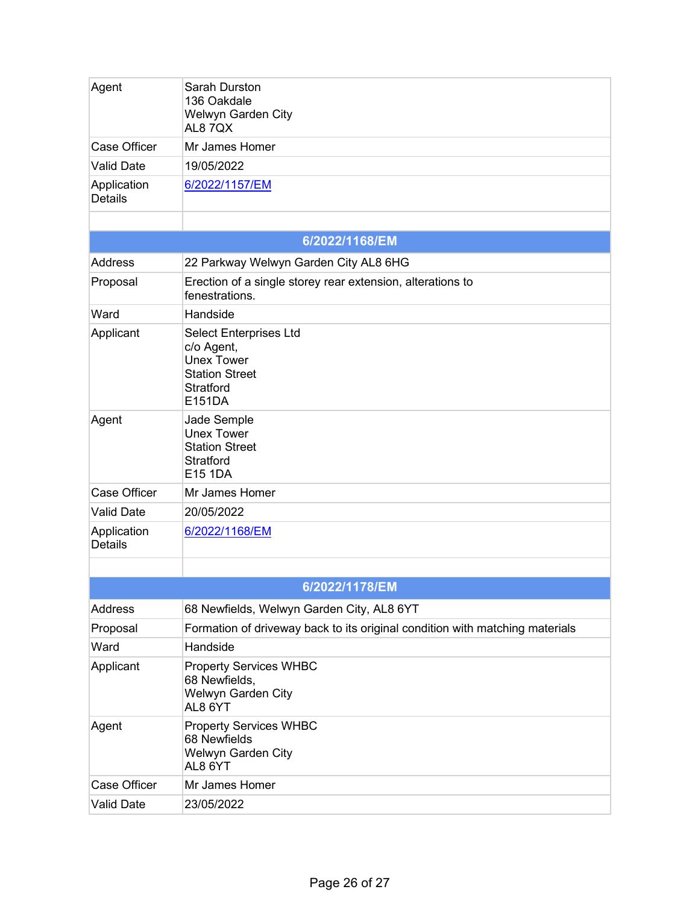| Agent                         | Sarah Durston<br>136 Oakdale<br>Welwyn Garden City<br>AL87QX                                                            |
|-------------------------------|-------------------------------------------------------------------------------------------------------------------------|
| <b>Case Officer</b>           | Mr James Homer                                                                                                          |
| <b>Valid Date</b>             | 19/05/2022                                                                                                              |
| Application<br><b>Details</b> | 6/2022/1157/EM                                                                                                          |
|                               |                                                                                                                         |
|                               | 6/2022/1168/EM                                                                                                          |
| <b>Address</b>                | 22 Parkway Welwyn Garden City AL8 6HG                                                                                   |
| Proposal                      | Erection of a single storey rear extension, alterations to<br>fenestrations.                                            |
| Ward                          | Handside                                                                                                                |
| Applicant                     | <b>Select Enterprises Ltd</b><br>c/o Agent,<br><b>Unex Tower</b><br><b>Station Street</b><br><b>Stratford</b><br>E151DA |
| Agent                         | Jade Semple<br><b>Unex Tower</b><br><b>Station Street</b><br><b>Stratford</b><br>E15 1DA                                |
| <b>Case Officer</b>           | Mr James Homer                                                                                                          |
| <b>Valid Date</b>             | 20/05/2022                                                                                                              |
| Application<br><b>Details</b> | 6/2022/1168/EM                                                                                                          |
|                               |                                                                                                                         |
|                               | 6/2022/1178/EM                                                                                                          |
| <b>Address</b>                | 68 Newfields, Welwyn Garden City, AL8 6YT                                                                               |
| Proposal                      | Formation of driveway back to its original condition with matching materials                                            |
| Ward                          | Handside                                                                                                                |
| Applicant                     | <b>Property Services WHBC</b><br>68 Newfields,<br>Welwyn Garden City<br>AL8 6YT                                         |
| Agent                         | <b>Property Services WHBC</b><br>68 Newfields<br>Welwyn Garden City<br>AL8 6YT                                          |
| <b>Case Officer</b>           | Mr James Homer                                                                                                          |
| <b>Valid Date</b>             | 23/05/2022                                                                                                              |